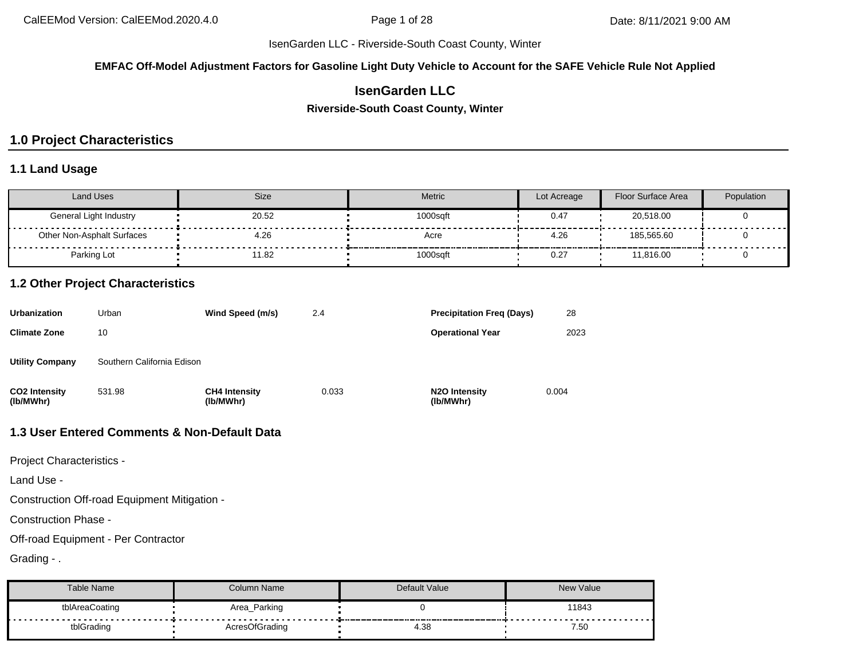#### **EMFAC Off-Model Adjustment Factors for Gasoline Light Duty Vehicle to Account for the SAFE Vehicle Rule Not Applied**

# **IsenGarden LLC**

#### **Riverside-South Coast County, Winter**

# **1.0 Project Characteristics**

#### **1.1 Land Usage**

| Land Uses                  | <b>Size</b> | <b>Metric</b> | Lot Acreage | <b>Floor Surface Area</b> | Population |
|----------------------------|-------------|---------------|-------------|---------------------------|------------|
| General Light Industry     | 20.52       | 1000saft      | 0.47        | 20,518.00                 |            |
| Other Non-Asphalt Surfaces | 4.26        | Acre          | 4.26        | 185.565.60                |            |
| Parking Lot                | 11.82       | 1000sqft      | 0.27        | 11,816.00                 |            |

#### **1.2 Other Project Characteristics**

| Urbanization               | Urban                      | Wind Speed (m/s)                  | 2.4   | <b>Precipitation Freg (Days)</b>        | 28    |
|----------------------------|----------------------------|-----------------------------------|-------|-----------------------------------------|-------|
| Climate Zone               | 10                         |                                   |       | <b>Operational Year</b>                 | 2023  |
| Utility Company            | Southern California Edison |                                   |       |                                         |       |
| CO2 Intensity<br>(lb/MWhr) | 531.98                     | <b>CH4 Intensity</b><br>(lb/MWhr) | 0.033 | N <sub>2</sub> O Intensity<br>(lb/MWhr) | 0.004 |

# **1.3 User Entered Comments & Non-Default Data**

Project Characteristics -

Land Use -

Construction Off-road Equipment Mitigation -

Construction Phase -

Off-road Equipment - Per Contractor

Grading - .

| Table Name     | Column Name    | Default Value | <b>New Value</b> |
|----------------|----------------|---------------|------------------|
| tblAreaCoating | Area_Parking   |               | 11843            |
| tblGrading     | AcresOfGrading | 4.38          | 7.50             |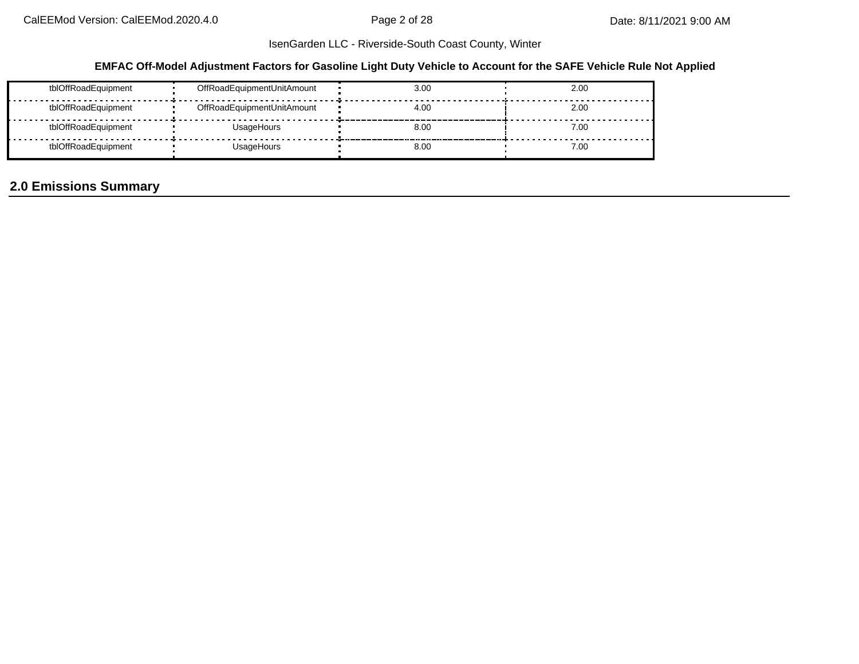### **EMFAC Off-Model Adjustment Factors for Gasoline Light Duty Vehicle to Account for the SAFE Vehicle Rule Not Applied**

| tblOffRoadEquipment | OffRoadEquipmentUnitAmount | 3.00 | 2.00 |
|---------------------|----------------------------|------|------|
| tblOffRoadEquipment | OffRoadEquipmentUnitAmount | 4.00 | 2.00 |
| tblOffRoadEquipment | UsageHours                 | 8.00 | 7.00 |
| tblOffRoadEquipment | UsageHours                 | 8.00 | 7.00 |

# **2.0 Emissions Summary**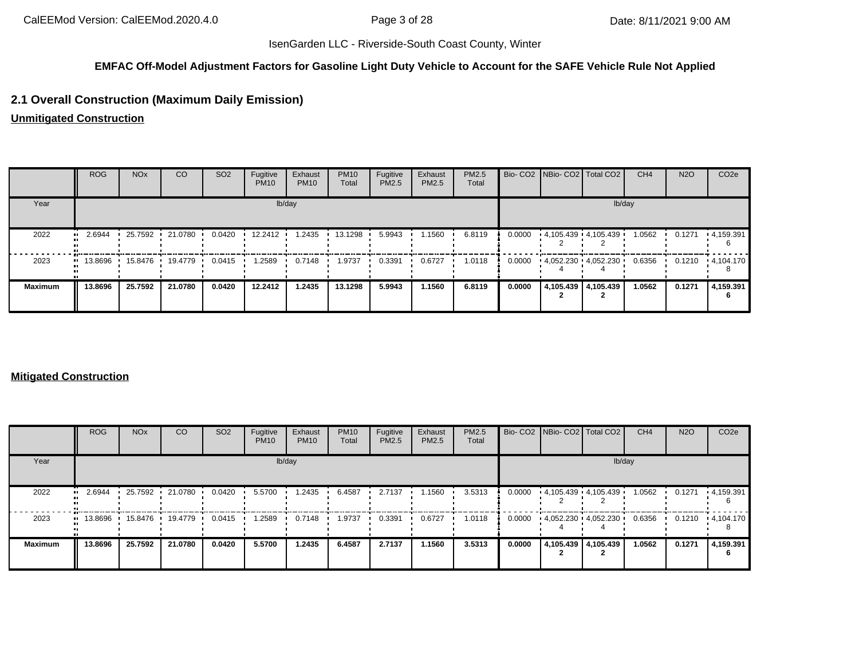#### **EMFAC Off-Model Adjustment Factors for Gasoline Light Duty Vehicle to Account for the SAFE Vehicle Rule Not Applied**

## **2.1 Overall Construction (Maximum Daily Emission)**

**Unmitigated Construction**

|                | <b>ROG</b> | <b>NO<sub>x</sub></b> | CO        | SO <sub>2</sub> | Fugitive<br><b>PM10</b> | Exhaust<br><b>PM10</b> | <b>PM10</b><br>Total | Fugitive<br>PM2.5 | Exhaust<br>PM2.5 | PM2.5<br>Total |        | Bio- CO2   NBio- CO2   Total CO2 |                     | CH <sub>4</sub> | <b>N2O</b> | CO <sub>2</sub> e |
|----------------|------------|-----------------------|-----------|-----------------|-------------------------|------------------------|----------------------|-------------------|------------------|----------------|--------|----------------------------------|---------------------|-----------------|------------|-------------------|
| Year           |            |                       |           |                 |                         | lb/day                 |                      |                   |                  |                |        |                                  |                     | lb/day          |            |                   |
| 2022           | 2.6944     | 25.7592               | 21.0780 · | 0.0420          | 12.2412                 | 1.2435                 | 13.1298              | 5.9943            | 1.1560           | 6.8119         | 0.0000 | $4.105.439 + 4.105.439$          |                     | 1.0562          | 0.1271     | .4,159.391        |
| 2023           | 13.8696    | 15.8476 •             | 19.4779 • | 0.0415          | 1.2589                  | 0.7148                 | 1.9737               | 0.3391            | 0.6727           | 1.0118         | 0.0000 | $4.052.230 + 4.052.230$          |                     | 0.6356          | 0.1210     | $\cdot$ 4,104.170 |
| <b>Maximum</b> | 13.8696    | 25.7592               | 21.0780   | 0.0420          | 12.2412                 | 1.2435                 | 13.1298              | 5.9943            | 1.1560           | 6.8119         | 0.0000 |                                  | 4,105.439 4,105.439 | 1.0562          | 0.1271     | 4,159.391         |

#### **Mitigated Construction**

|                | <b>ROG</b>                            | <b>NO<sub>x</sub></b> | <b>CO</b> | SO <sub>2</sub> | Fugitive<br><b>PM10</b> | Exhaust<br><b>PM10</b> | <b>PM10</b><br>Total | Fugitive<br>PM2.5 | Exhaust<br>PM2.5 | PM2.5<br>Total |        | Bio- CO2 NBio- CO2 Total CO2 | CH <sub>4</sub> | <b>N2O</b> | CO <sub>2e</sub>  |
|----------------|---------------------------------------|-----------------------|-----------|-----------------|-------------------------|------------------------|----------------------|-------------------|------------------|----------------|--------|------------------------------|-----------------|------------|-------------------|
| Year           |                                       |                       |           |                 |                         | lb/day                 |                      |                   |                  |                |        | lb/day                       |                 |            |                   |
| 2022           | 2.6944<br>$\bullet$                   | 25.7592 ·             | 21.0780   | 0.0420          | 5.5700                  | 1.2435                 | 6.4587               | 2.7137            | 1.1560           | 3.5313         | 0.0000 | 4,105.439 4,105.439          | 1.0562          | 0.1271     | $\cdot$ 4,159.391 |
| 2023           | $\blacksquare$ 13.8696 $\blacksquare$ | 15.8476               | 19.4779   | 0.0415          | 1.2589                  | 0.7148                 | 1.9737               | 0.3391            | 0.6727           | 1.0118         | 0.0000 | $4,052.230$ $4,052.230$      | 0.6356          | 0.1210     | $\cdot$ 4,104.170 |
| <b>Maximum</b> | 13.8696                               | 25.7592               | 21.0780   | 0.0420          | 5.5700                  | 1.2435                 | 6.4587               | 2.7137            | 1.1560           | 3.5313         | 0.0000 | 4,105.439 4,105.439          | 1.0562          | 0.1271     | 4,159.391         |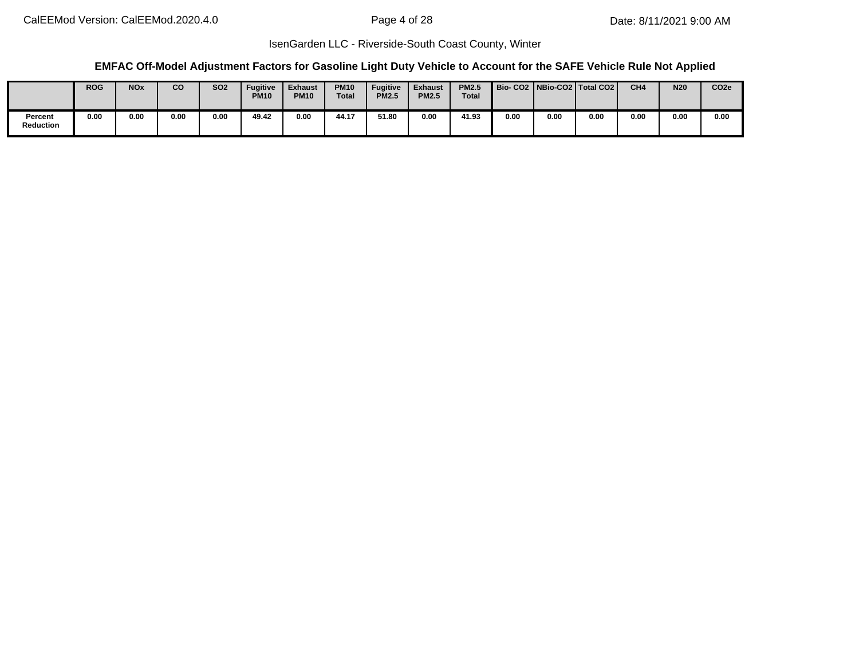#### **EMFAC Off-Model Adjustment Factors for Gasoline Light Duty Vehicle to Account for the SAFE Vehicle Rule Not Applied**

|                      | <b>ROG</b> | <b>NO<sub>x</sub></b> | co   | <b>SO2</b> | <b>Fugitive</b><br><b>PM10</b> | <b>Exhaust</b><br><b>PM10</b> | <b>PM10</b><br><b>Total</b> | <b>Fugitive</b><br><b>PM2.5</b> | <b>Exhaust</b><br><b>PM2.5</b> | <b>PM2.5</b><br><b>Total</b> |      |      | Bio-CO2   NBio-CO2   Total CO2 | CH <sub>4</sub> | <b>N20</b> | CO <sub>2e</sub> |
|----------------------|------------|-----------------------|------|------------|--------------------------------|-------------------------------|-----------------------------|---------------------------------|--------------------------------|------------------------------|------|------|--------------------------------|-----------------|------------|------------------|
| Percent<br>Reduction | 0.00       | 0.00                  | 0.00 | 0.00       | 49.42                          | 0.00                          | 44.17                       | 51.80                           | 0.00                           | 41.93                        | 0.00 | 0.00 | 0.00                           | 0.00            | 0.00       | 0.00             |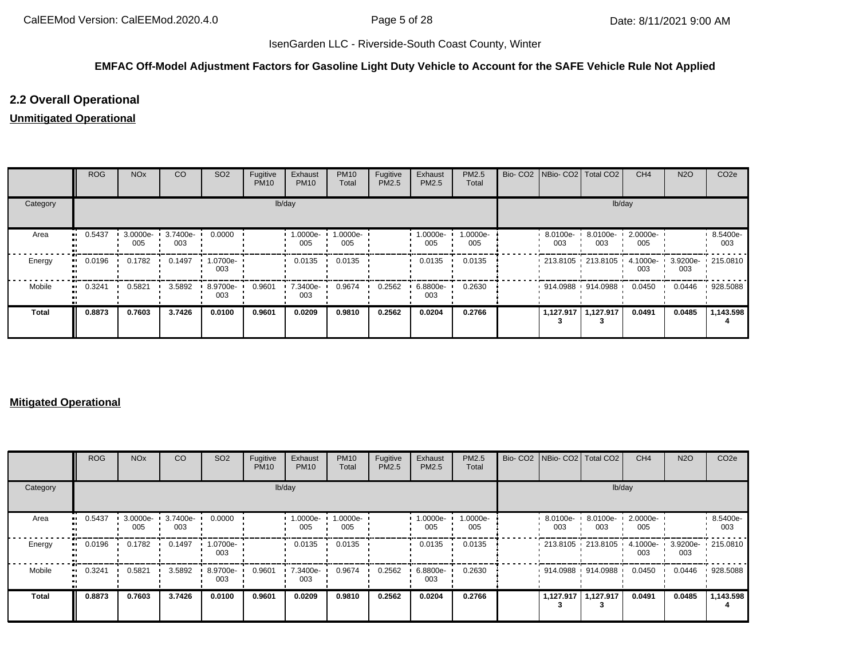### **EMFAC Off-Model Adjustment Factors for Gasoline Light Duty Vehicle to Account for the SAFE Vehicle Rule Not Applied**

## **2.2 Overall Operational**

### **Unmitigated Operational**

|              | <b>ROG</b> | <b>NO<sub>x</sub></b> | CO              | SO <sub>2</sub> | Fugitive<br><b>PM10</b> | Exhaust<br><b>PM10</b> | <b>PM10</b><br>Total | Fugitive<br>PM2.5 | Exhaust<br>PM2.5   | PM2.5<br>Total  | Bio- CO2 NBio- CO2 Total CO2  |                    | CH <sub>4</sub> | <b>N2O</b> | CO <sub>2e</sub>  |
|--------------|------------|-----------------------|-----------------|-----------------|-------------------------|------------------------|----------------------|-------------------|--------------------|-----------------|-------------------------------|--------------------|-----------------|------------|-------------------|
| Category     |            |                       |                 |                 | lb/day                  |                        |                      |                   |                    |                 |                               | lb/day             |                 |            |                   |
| Area         | 0.5437<br> | $3.0000e -$<br>005    | 3.7400e-<br>003 | 0.0000          |                         | 1.0000e-<br>005        | 1.0000e-<br>005      |                   | $1.0000e -$<br>005 | 1.0000e-<br>005 | 8.0100e-<br>003               | $8.0100e -$<br>003 | 2.0000e-<br>005 |            | 8.5400e-<br>003   |
| Energy       | 0.0196<br> | 0.1782                | 0.1497          | 1.0700e-<br>003 |                         | 0.0135                 | 0.0135               |                   | 0.0135             | 0.0135          | $1213.8105$ 213.8105 4.1000e- |                    | 003             | 003        | 3.9200e- 215.0810 |
| Mobile       | 0.3241<br> | 0.5821                | 3.5892          | 8.9700e-<br>003 | 0.9601                  | 7.3400e-<br>003        | 0.9674               | 0.2562            | 6.8800e-<br>003    | 0.2630          | $914.0988$ 914.0988 ·         |                    | 0.0450          | 0.0446     | 928.5088          |
| <b>Total</b> | 0.8873     | 0.7603                | 3.7426          | 0.0100          | 0.9601                  | 0.0209                 | 0.9810               | 0.2562            | 0.0204             | 0.2766          | 1,127.917                     | 1,127.917          | 0.0491          | 0.0485     | 1,143.598         |

#### **Mitigated Operational**

|              | <b>ROG</b> | <b>NO<sub>x</sub></b> | CO                | SO <sub>2</sub> | Fugitive<br><b>PM10</b> | Exhaust<br><b>PM10</b> | <b>PM10</b><br>Total | Fugitive<br><b>PM2.5</b> | Exhaust<br>PM2.5 | <b>PM2.5</b><br>Total |                 | Bio- CO2   NBio- CO2   Total CO2 | CH <sub>4</sub> | <b>N2O</b> | CO <sub>2</sub> e |
|--------------|------------|-----------------------|-------------------|-----------------|-------------------------|------------------------|----------------------|--------------------------|------------------|-----------------------|-----------------|----------------------------------|-----------------|------------|-------------------|
| Category     |            |                       |                   |                 |                         | lb/day                 |                      |                          |                  |                       |                 | lb/day                           |                 |            |                   |
| Area         | 0.5437     | $3.0000e -$<br>005    | 3.7400e- '<br>003 | 0.0000          |                         | 1.0000e-<br>005        | 1.0000e-<br>005      |                          | 1.0000e-<br>005  | 1.0000e-<br>005       | 8.0100e-<br>003 | 8.0100e-<br>003                  | 2.0000e-<br>005 |            | 8.5400e-<br>003   |
| Energy       | 0.0196     | 0.1782                | 0.1497            | 1.0700e-<br>003 |                         | 0.0135                 | 0.0135               |                          | 0.0135           | 0.0135                |                 | 213.8105 213.8105                | 4.1000e-<br>003 | 003        | 3.9200e- 215.0810 |
| Mobile       | 0.3241     | 0.5821                | 3.5892            | 8.9700e-<br>003 | 0.9601                  | 7.3400e-<br>003        | 0.9674               | 0.2562                   | 6.8800e-<br>003  | 0.2630                |                 | 914.0988 914.0988                | 0.0450          | 0.0446     | 928.5088          |
| <b>Total</b> | 0.8873     | 0.7603                | 3.7426            | 0.0100          | 0.9601                  | 0.0209                 | 0.9810               | 0.2562                   | 0.0204           | 0.2766                | 1,127.917       | 1,127.917                        | 0.0491          | 0.0485     | 1,143.598         |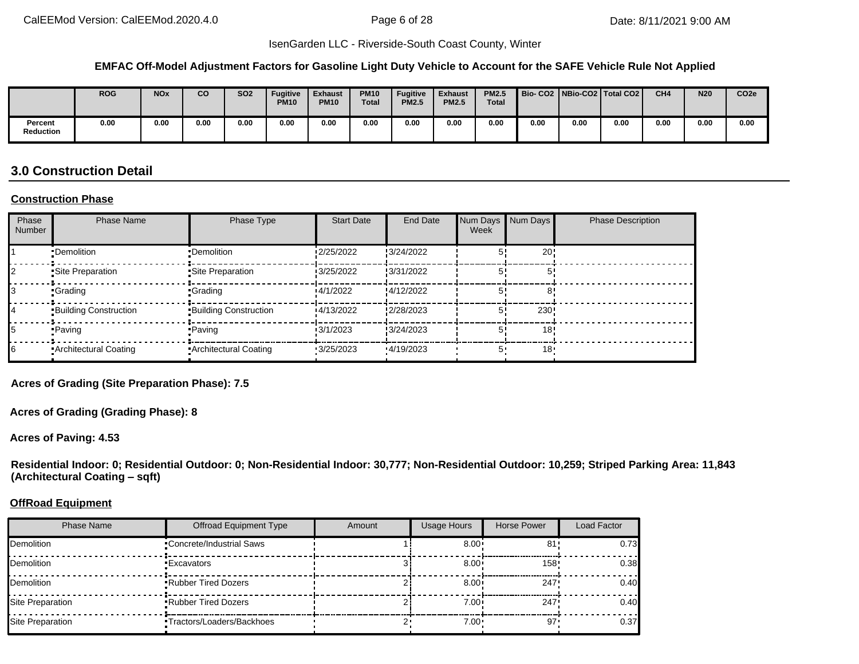#### **EMFAC Off-Model Adjustment Factors for Gasoline Light Duty Vehicle to Account for the SAFE Vehicle Rule Not Applied**

|                             | <b>ROG</b> | <b>NOx</b> | co   | SO <sub>2</sub> | <b>Fugitive</b><br><b>PM10</b> | <b>Exhaust</b><br><b>PM10</b> | <b>PM10</b><br><b>Total</b> | Fugitive<br><b>PM2.5</b> | <b>Exhaust</b><br><b>PM2.5</b> | <b>PM2.5</b><br><b>Total</b> |      |      | Bio-CO2   NBio-CO2   Total CO2 | CH <sub>4</sub> | <b>N20</b> | CO <sub>2e</sub> |
|-----------------------------|------------|------------|------|-----------------|--------------------------------|-------------------------------|-----------------------------|--------------------------|--------------------------------|------------------------------|------|------|--------------------------------|-----------------|------------|------------------|
| Percent<br><b>Reduction</b> | 0.00       | 0.00       | 0.00 | 0.00            | 0.00                           | 0.00                          | 0.00                        | 0.00                     | 0.00                           | 0.00                         | 0.00 | 0.00 | 0.00                           | 0.00            | 0.00       | 0.00             |

# **3.0 Construction Detail**

#### **Construction Phase**

| Phase<br><b>Number</b> | <b>Phase Name</b>            | Phase Type                   | <b>Start Date</b> | End Date   | Num Days<br>Week | Num Days | <b>Phase Description</b> |
|------------------------|------------------------------|------------------------------|-------------------|------------|------------------|----------|--------------------------|
|                        | •Demolition                  | •Demolition                  | 2/25/2022         | :3/24/2022 |                  | 20!      |                          |
|                        | •Site Preparation            | •Site Preparation            | 3/25/2022         | 3/31/2022  |                  |          |                          |
|                        | •Grading                     | •Grading                     | 4/1/2022          | :4/12/2022 |                  |          |                          |
|                        | <b>Building Construction</b> | <b>Building Construction</b> | 4/13/2022         | 2/28/2023  |                  | 230!     |                          |
|                        | •Paving                      | • Paving                     | 3/1/2023          | :3/24/2023 |                  | 18       |                          |
| 6                      | Architectural Coating        | <b>Architectural Coating</b> | 3/25/2023         | 4/19/2023  |                  | 18'      |                          |

**Acres of Grading (Site Preparation Phase): 7.5**

**Acres of Grading (Grading Phase): 8**

**Acres of Paving: 4.53**

**Residential Indoor: 0; Residential Outdoor: 0; Non-Residential Indoor: 30,777; Non-Residential Outdoor: 10,259; Striped Parking Area: 11,843 (Architectural Coating – sqft)**

#### **OffRoad Equipment**

| <b>Phase Name</b> | <b>Offroad Equipment Type</b>   | Amount | <b>Usage Hours</b> | Horse Power     | Load Factor |
|-------------------|---------------------------------|--------|--------------------|-----------------|-------------|
| Demolition        | <b>Concrete/Industrial Saws</b> |        | $8.00 \cdot$       | 81'             | 0.73        |
| Demolition        | •Excavators                     |        | $8.00 \cdot$       | 158'            | 0.38        |
| Demolition        | <b>Rubber Tired Dozers</b>      |        | $8.00 \cdot$       | 247             | 0.40        |
| Site Preparation  | <b>Rubber Tired Dozers</b>      |        | $7.00 \cdot$       | 247             | 0.40        |
| Site Preparation  | ■Tractors/Loaders/Backhoes      |        | $7.00 \cdot$       | 97 <sup>1</sup> | 0.37        |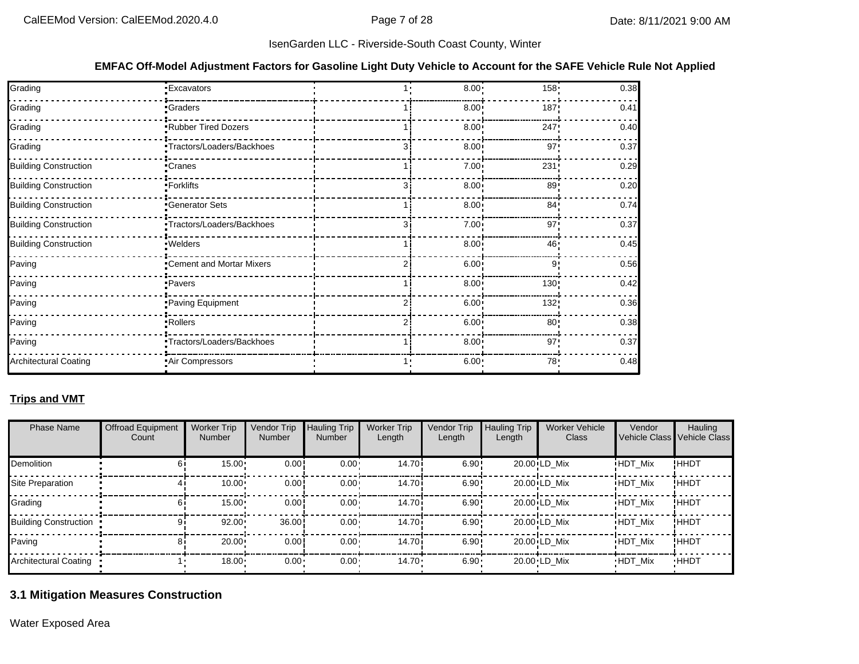#### **EMFAC Off-Model Adjustment Factors for Gasoline Light Duty Vehicle to Account for the SAFE Vehicle Rule Not Applied**

| Grading                      | <b>Excavators</b>          | $8.00 \cdot$      | 158 <sup>1</sup> | 0.38 |
|------------------------------|----------------------------|-------------------|------------------|------|
| Grading                      | <b>Graders</b>             | $8.00 \cdot$      | 187              | 0.41 |
| Grading                      | Rubber Tired Dozers        | $8.00 \cdot$      | 247              | 0.40 |
| Grading                      | Tractors/Loaders/Backhoes  | $8.00 \div$       | 97 <sup>1</sup>  | 0.37 |
| <b>Building Construction</b> | Cranes                     | $7.00 \cdot$      | 231              | 0.29 |
| <b>Building Construction</b> | -Forklifts                 | $8.00 \div$       | 89               | 0.20 |
| <b>Building Construction</b> | Generator Sets             | $8.00 \cdot$      | 84'              | 0.74 |
| <b>Building Construction</b> | "Tractors/Loaders/Backhoes | 7.00 <sub>1</sub> | 97 <sup>1</sup>  | 0.37 |
| <b>Building Construction</b> | · Welders                  | $8.00 \cdot$      | 46'              | 0.45 |
| Paving                       | "Cement and Mortar Mixers  | $6.00 \cdot$      | 9                | 0.56 |
| Paving                       | • Pavers                   | $8.00 \cdot$      | 130              | 0.42 |
| Paving                       | Paving Equipment           | $6.00 \cdot$      | 132:             | 0.36 |
| Paving                       | -Rollers                   | $6.00 \cdot$      | 80 <sub>1</sub>  | 0.38 |
| Paving                       | Tractors/Loaders/Backhoes  | $8.00 \div$       | 97'              | 0.37 |
| <b>Architectural Coating</b> | Air Compressors            | 6.00:             | 78               | 0.48 |

### **Trips and VMT**

| <b>Phase Name</b>     | <b>Offroad Equipment</b><br>Count | <b>Worker Trip</b><br><b>Number</b> | Vendor Trip<br>Number | <b>Hauling Trip</b><br><b>Number</b> | <b>Worker Trip</b><br>Length | Vendor Trip<br>Length | <b>Hauling Trip</b><br>Length | <b>Worker Vehicle</b><br>Class | Vendor         | Hauling<br>Vehicle Class Vehicle Class |
|-----------------------|-----------------------------------|-------------------------------------|-----------------------|--------------------------------------|------------------------------|-----------------------|-------------------------------|--------------------------------|----------------|----------------------------------------|
| <b>Demolition</b>     |                                   | 15.00                               | 0.00                  | $0.00 -$                             | 14.70i                       | 6.90:                 |                               | $20.00 \cdot LD$ Mix           | <b>HDT Mix</b> | !HHDT                                  |
| Site Preparation      |                                   | 10.00                               | 0.00                  | $0.00 -$                             | 14.70i                       | 6.90:                 |                               | $20.00 \cdot LD$ Mix           | <b>HDT Mix</b> | !HHDT                                  |
| Grading               |                                   | 15.00                               | 0.00                  | $0.00 -$                             | 14.70i                       | 6.90:                 |                               | $20.00 \cdot LD$ Mix           | <b>HDT Mix</b> | !HHDT                                  |
| Building Construction |                                   | 92.00                               | 36.00                 | $0.00 -$                             | 14.70 <sup>i</sup>           | 6.90:                 |                               | $20.00 \cdot LD$ Mix           | <b>HDT Mix</b> | !ННDТ                                  |
| Paving                |                                   | 20.00                               | 0.00                  | $0.00 -$                             | 14.70i                       | 6.90:                 |                               | $20.00 \cdot LD$ Mix           | <b>HDT Mix</b> | !ННDТ                                  |
| Architectural Coating |                                   | 18.00                               | 0.00                  | $0.00 -$                             | $14.70 \cdot$                | $6.90 -$              |                               | 20.00 LD Mix                   | <b>HDT Mix</b> | <b>HHDT</b>                            |

# **3.1 Mitigation Measures Construction**

Water Exposed Area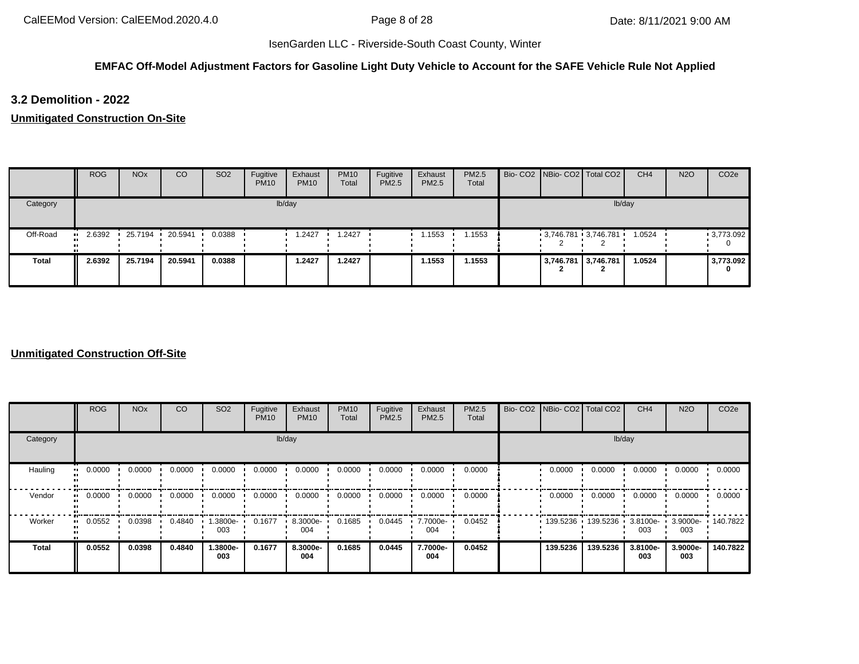### **EMFAC Off-Model Adjustment Factors for Gasoline Light Duty Vehicle to Account for the SAFE Vehicle Rule Not Applied**

### **3.2 Demolition - 2022**

**Unmitigated Construction On-Site**

|              | <b>ROG</b> | <b>NO<sub>x</sub></b> | <sub>co</sub> | SO <sub>2</sub> | Fugitive<br><b>PM10</b> | Exhaust<br><b>PM10</b> | <b>PM10</b><br>Total | Fugitive<br>PM2.5 | Exhaust<br><b>PM2.5</b> | PM2.5<br>Total |                     | Bio- CO2 NBio- CO2 Total CO2 | CH <sub>4</sub> | <b>N2O</b> | CO <sub>2e</sub> |
|--------------|------------|-----------------------|---------------|-----------------|-------------------------|------------------------|----------------------|-------------------|-------------------------|----------------|---------------------|------------------------------|-----------------|------------|------------------|
| Category     |            |                       |               |                 |                         | lb/day                 |                      |                   |                         |                |                     |                              | lb/day          |            |                  |
| Off-Road     | 2.6392     | 25.7194               | 20.5941       | 0.0388          |                         | 1.2427                 | 1.2427               |                   | 1.1553                  | 1.1553         |                     | $3,746.781$ 3,746.781        | 1.0524          |            | $-3,773.092$     |
| <b>Total</b> | 2.6392     | 25.7194               | 20.5941       | 0.0388          |                         | 1.2427                 | 1.2427               |                   | 1.1553                  | 1.1553         | 3,746.781 3,746.781 |                              | 1.0524          |            | 3,773.092        |

|                         | <b>ROG</b>               | <b>NO<sub>x</sub></b> | CO     | SO <sub>2</sub> | Fugitive<br><b>PM10</b> | Exhaust<br><b>PM10</b> | <b>PM10</b><br>Total | Fugitive<br><b>PM2.5</b> | Exhaust<br>PM2.5 | PM2.5<br>Total | Bio- CO2 NBio- CO2 Total CO2 |                            | CH <sub>4</sub> | <b>N2O</b>               | CO <sub>2e</sub> |
|-------------------------|--------------------------|-----------------------|--------|-----------------|-------------------------|------------------------|----------------------|--------------------------|------------------|----------------|------------------------------|----------------------------|-----------------|--------------------------|------------------|
| Category                |                          |                       |        |                 |                         | lb/day                 |                      |                          |                  |                |                              |                            | lb/day          |                          |                  |
| Hauling<br>$\mathbf{u}$ | 0.0000                   | 0.0000                | 0.0000 | 0.0000          | 0.0000                  | 0.0000                 | 0.0000               | 0.0000                   | 0.0000           | 0.0000         | 0.0000                       | 0.0000                     | 0.0000          | 0.0000                   | 0.0000           |
| Vendor                  | 0.0000<br>$\blacksquare$ | 0.0000                | 0.0000 | 0.0000          | 0.0000                  | 0.0000                 | 0.0000               | 0.0000                   | 0.0000           | 0.0000         | 0.0000                       | 0.0000                     | 0.0000          | 0.0000                   | 0.0000           |
| Worker                  | 0.0552<br>$\bullet$      | 0.0398                | 0.4840 | .3800e-<br>003  | 0.1677                  | 8.3000e-<br>004        | 0.1685               | 0.0445                   | 7.7000e-<br>004  | 0.0452         |                              | 139.5236 139.5236 3.8100e- | 003             | 3.9000e- 140.7822<br>003 |                  |
| <b>Total</b>            | 0.0552                   | 0.0398                | 0.4840 | -.3800e<br>003  | 0.1677                  | 8.3000e-<br>004        | 0.1685               | 0.0445                   | 7.7000e-<br>004  | 0.0452         | 139.5236                     | 139.5236                   | 3.8100e-<br>003 | 3.9000e-<br>003          | 140.7822         |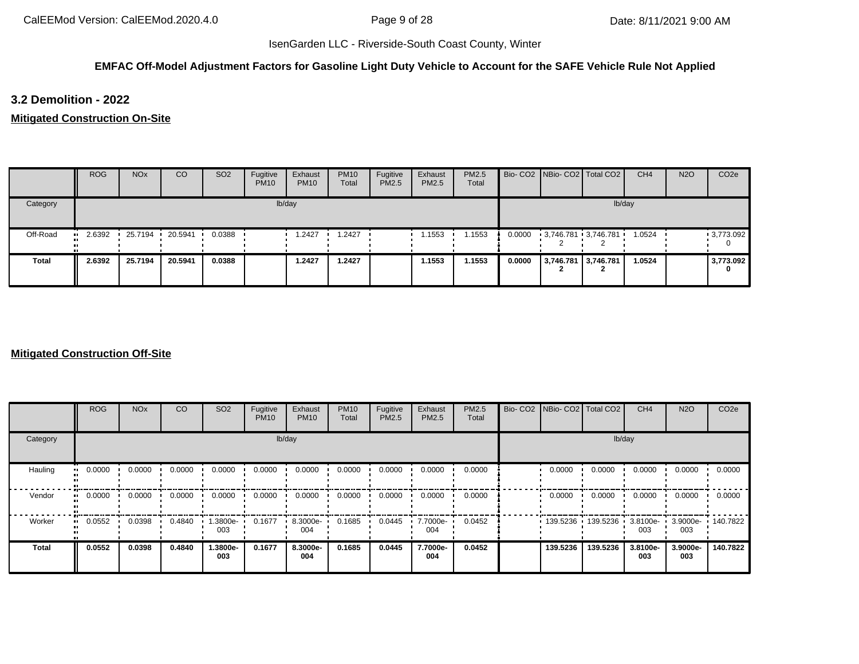### **EMFAC Off-Model Adjustment Factors for Gasoline Light Duty Vehicle to Account for the SAFE Vehicle Rule Not Applied**

### **3.2 Demolition - 2022**

#### **Mitigated Construction On-Site**

|              | <b>ROG</b> | <b>NO<sub>x</sub></b> | CO              | <b>SO2</b> | Fugitive<br><b>PM10</b> | Exhaust<br><b>PM10</b> | <b>PM10</b><br>Total | Fugitive<br>PM2.5 | Exhaust<br>PM2.5 | PM2.5<br>Total |        |                     | Bio- CO2 NBio- CO2 Total CO2 | CH <sub>4</sub> | <b>N2O</b> | CO <sub>2e</sub> |
|--------------|------------|-----------------------|-----------------|------------|-------------------------|------------------------|----------------------|-------------------|------------------|----------------|--------|---------------------|------------------------------|-----------------|------------|------------------|
| Category     |            |                       |                 |            |                         | lb/day                 |                      |                   |                  |                |        |                     |                              | lb/day          |            |                  |
| Off-Road     | 2.6392     |                       | 25.7194 20.5941 | 0.0388     |                         | .2427                  | 1.2427               |                   | 1.1553           | 1.1553         | 0.0000 |                     | 3,746.781 3,746.781 '        | 1.0524          |            | 9,773.092        |
| <b>Total</b> | 2.6392     | 25.7194               | 20.5941         | 0.0388     |                         | 1.2427                 | 1.2427               |                   | 1.1553           | 1.1553         | 0.0000 | 3,746.781 3,746.781 |                              | 1.0524          |            | 3,773.092<br>0   |

|                         | <b>ROG</b>          | <b>NO<sub>x</sub></b> | CO     | SO <sub>2</sub> | Fugitive<br><b>PM10</b> | Exhaust<br><b>PM10</b> | <b>PM10</b><br>Total | Fugitive<br><b>PM2.5</b> | Exhaust<br>PM2.5 | PM2.5<br>Total | Bio- CO2 NBio- CO2 Total CO2 |                   | CH <sub>4</sub>    | <b>N2O</b>               | CO <sub>2e</sub> |
|-------------------------|---------------------|-----------------------|--------|-----------------|-------------------------|------------------------|----------------------|--------------------------|------------------|----------------|------------------------------|-------------------|--------------------|--------------------------|------------------|
| Category                |                     |                       |        |                 |                         | lb/day                 |                      |                          |                  |                |                              |                   | lb/day             |                          |                  |
| Hauling<br>$\mathbf{u}$ | 0.0000              | 0.0000                | 0.0000 | 0.0000          | 0.0000                  | 0.0000                 | 0.0000               | 0.0000                   | 0.0000           | 0.0000         | 0.0000                       | 0.0000            | 0.0000             | 0.0000                   | 0.0000           |
| Vendor                  | 0.0000<br>$\bullet$ | 0.0000                | 0.0000 | 0.0000          | 0.0000                  | 0.0000                 | 0.0000               | 0.0000                   | 0.0000           | 0.0000         | 0.0000                       | 0.0000            | 0.0000             | 0.0000                   | 0.0000           |
| Worker<br>$\mathbf{u}$  | 0.0552              | 0.0398                | 0.4840 | -3800e.<br>003  | 0.1677                  | 8.3000e-<br>004        | 0.1685               | 0.0445                   | 7.7000e-<br>004  | 0.0452         |                              | 139.5236 139.5236 | $3.8100e -$<br>003 | 3.9000e- 140.7822<br>003 |                  |
| <b>Total</b>            | 0.0552              | 0.0398                | 0.4840 | -.3800e<br>003  | 0.1677                  | 8.3000e-<br>004        | 0.1685               | 0.0445                   | 7.7000e-<br>004  | 0.0452         | 139.5236                     | 139.5236          | 3.8100e-<br>003    | 3.9000e-<br>003          | 140.7822         |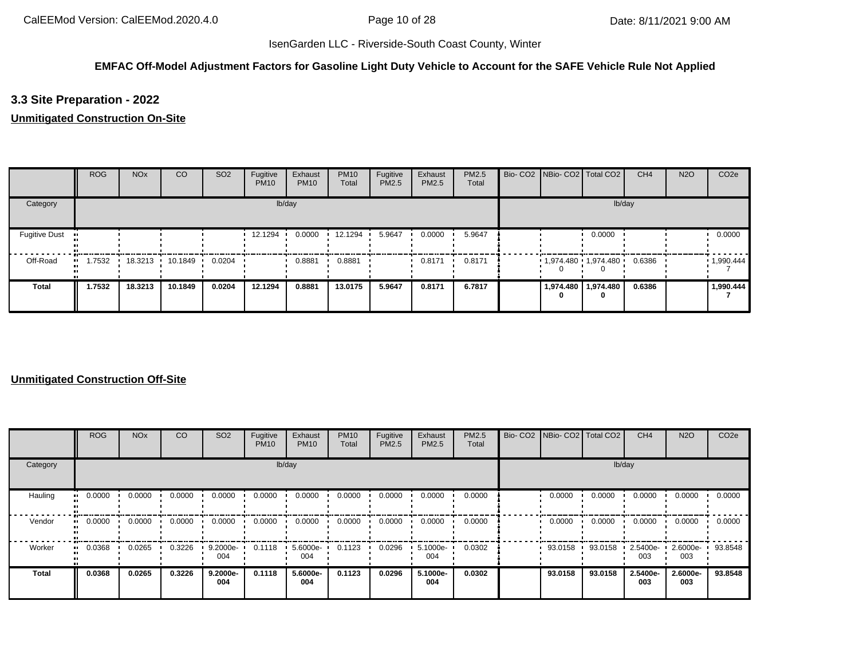### **EMFAC Off-Model Adjustment Factors for Gasoline Light Duty Vehicle to Account for the SAFE Vehicle Rule Not Applied**

## **3.3 Site Preparation - 2022**

### **Unmitigated Construction On-Site**

|                      | <b>ROG</b>            | <b>NO<sub>x</sub></b> | CO      | SO <sub>2</sub> | Fugitive<br><b>PM10</b> | Exhaust<br><b>PM10</b> | <b>PM10</b><br>Total | Fugitive<br><b>PM2.5</b> | Exhaust<br><b>PM2.5</b> | <b>PM2.5</b><br>Total | Bio- CO2   NBio- CO2   Total CO2 |                       | CH <sub>4</sub> | <b>N2O</b> | CO <sub>2e</sub> |
|----------------------|-----------------------|-----------------------|---------|-----------------|-------------------------|------------------------|----------------------|--------------------------|-------------------------|-----------------------|----------------------------------|-----------------------|-----------------|------------|------------------|
| Category             |                       |                       |         |                 |                         | lb/day                 |                      |                          |                         |                       |                                  | lb/day                |                 |            |                  |
| <b>Fugitive Dust</b> |                       |                       |         |                 | 12.1294                 | 0.0000                 | 12.1294              | 5.9647                   | 0.0000                  | 5.9647                |                                  | 0.0000                |                 |            | 0.0000           |
| Off-Road             | $\blacksquare$ 1.7532 | 18.3213               | 10.1849 | 0.0204          |                         | 0.8881                 | 0.8881               |                          | 0.8171                  | 0.8171                | $1,974.480$ $1,974.480$          |                       | 0.6386          |            | 1,990.444        |
| Total                | 1.7532                | 18.3213               | 10.1849 | 0.0204          | 12.1294                 | 0.8881                 | 13.0175              | 5.9647                   | 0.8171                  | 6.7817                | 0                                | 1,974.480   1,974.480 | 0.6386          |            | 1,990.444        |

|              | <b>ROG</b> | <b>NO<sub>x</sub></b> | CO     | SO <sub>2</sub> | Fugitive<br><b>PM10</b> | Exhaust<br><b>PM10</b> | <b>PM10</b><br>Total | Fugitive<br>PM2.5 | Exhaust<br>PM2.5 | <b>PM2.5</b><br>Total |         | Bio- CO2   NBio- CO2   Total CO2 | CH <sub>4</sub> | <b>N2O</b>      | CO <sub>2e</sub> |
|--------------|------------|-----------------------|--------|-----------------|-------------------------|------------------------|----------------------|-------------------|------------------|-----------------------|---------|----------------------------------|-----------------|-----------------|------------------|
| Category     |            |                       |        |                 |                         | lb/day                 |                      |                   |                  |                       |         |                                  | lb/day          |                 |                  |
| Hauling      | 0.0000     | 0.0000                | 0.0000 | 0.0000          | 0.0000                  | 0.0000                 | 0.0000               | 0.0000            | 0.0000           | 0.0000                | 0.0000  | 0.0000                           | 0.0000          | 0.0000          | 0.0000           |
| Vendor       | 0.0000     | 0.0000                | 0.0000 | 0.0000          | 0.0000                  | 0.0000                 | 0.0000               | 0.0000            | 0.0000           | 0.0000                | 0.0000  | 0.0000                           | 0.0000          | 0.0000          | 0.0000           |
| Worker       | 0.0368     | 0.0265                | 0.3226 | 9.2000e-<br>004 | 0.1118                  | 5.6000e-<br>004        | 0.1123               | 0.0296            | 5.1000e-<br>004  | 0.0302                | 93.0158 | 93.0158                          | 2.5400e-<br>003 | 2.6000e-<br>003 | 93.8548          |
| <b>Total</b> | 0.0368     | 0.0265                | 0.3226 | 9.2000e-<br>004 | 0.1118                  | 5.6000e-<br>004        | 0.1123               | 0.0296            | 5.1000e-<br>004  | 0.0302                | 93.0158 | 93.0158                          | 2.5400e-<br>003 | 2.6000e-<br>003 | 93.8548          |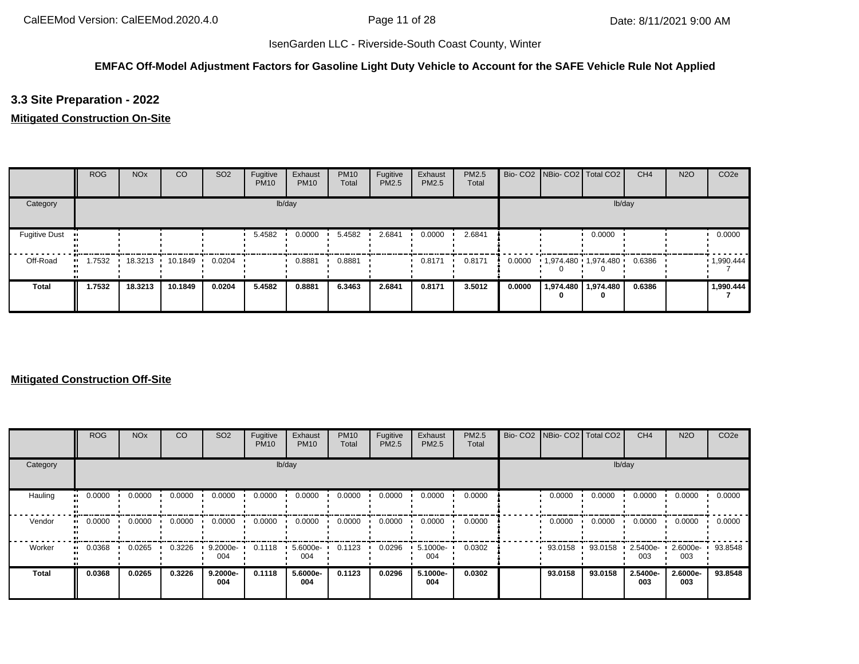### **EMFAC Off-Model Adjustment Factors for Gasoline Light Duty Vehicle to Account for the SAFE Vehicle Rule Not Applied**

# **3.3 Site Preparation - 2022**

### **Mitigated Construction On-Site**

|                      | <b>ROG</b> | <b>NO<sub>x</sub></b> | CO              | SO <sub>2</sub> | Fugitive<br><b>PM10</b> | Exhaust<br><b>PM10</b> | <b>PM10</b><br>Total | Fugitive<br>PM2.5 | Exhaust<br>PM2.5 | <b>PM2.5</b><br>Total |        | Bio- CO2   NBio- CO2   Total CO2 |                | CH <sub>4</sub> | <b>N2O</b> | CO <sub>2e</sub> |
|----------------------|------------|-----------------------|-----------------|-----------------|-------------------------|------------------------|----------------------|-------------------|------------------|-----------------------|--------|----------------------------------|----------------|-----------------|------------|------------------|
| Category             |            |                       |                 |                 |                         | lb/day                 |                      |                   |                  |                       |        |                                  | lb/day         |                 |            |                  |
| <b>Fugitive Dust</b> |            |                       |                 |                 | 5.4582                  | 0.0000                 | 5.4582               | 2.6841            | 0.0000           | 2.6841                |        |                                  | 0.0000         |                 |            | 0.0000           |
| Off-Road             | 1.7532     |                       | 18.3213 10.1849 | 0.0204          |                         | 0.8881                 | 0.8881               |                   | 0.8171           | 0.8171                | 0.0000 | $1,974.480$ $1,974.480$          |                | 0.6386          |            | 1,990.444        |
| <b>Total</b>         | 1.7532     | 18.3213               | 10.1849         | 0.0204          | 5.4582                  | 0.8881                 | 6.3463               | 2.6841            | 0.8171           | 3.5012                | 0.0000 | 1,974.480                        | 1,974.480<br>0 | 0.6386          |            | 1,990.444        |

|              | ROG    | <b>NO<sub>x</sub></b> | <sub>CO</sub> | SO <sub>2</sub> | Fugitive<br><b>PM10</b> | Exhaust<br><b>PM10</b> | <b>PM10</b><br>Total | Fugitive<br>PM2.5 | Exhaust<br>PM2.5 | <b>PM2.5</b><br>Total | Bio- CO2   NBio- CO2   Total CO2 |         | CH <sub>4</sub> | <b>N2O</b>      | CO <sub>2e</sub> |
|--------------|--------|-----------------------|---------------|-----------------|-------------------------|------------------------|----------------------|-------------------|------------------|-----------------------|----------------------------------|---------|-----------------|-----------------|------------------|
| Category     |        |                       |               |                 |                         | lb/day                 |                      |                   |                  |                       |                                  | lb/day  |                 |                 |                  |
| Hauling      | 0.0000 | 0.0000                | 0.0000        | 0.0000          | 0.0000                  | 0.0000                 | 0.0000               | 0.0000            | 0.0000           | 0.0000                | 0.0000                           | 0.0000  | 0.0000          | 0.0000          | 0.0000           |
| Vendor       | 0.0000 | 0.0000                | 0.0000        | 0.0000          | 0.0000                  | 0.0000                 | 0.0000               | 0.0000            | 0.0000           | 0.0000                | 0.0000                           | 0.0000  | 0.0000          | 0.0000          | 0.0000           |
| Worker       | 0.0368 | 0.0265                | 0.3226        | 9.2000e-<br>004 | 0.1118                  | 5.6000e-<br>004        | 0.1123               | 0.0296            | 5.1000e-<br>004  | 0.0302                | 93.0158                          | 93.0158 | 2.5400e-<br>003 | 2.6000e-<br>003 | 93.8548          |
| <b>Total</b> | 0.0368 | 0.0265                | 0.3226        | 9.2000e-<br>004 | 0.1118                  | 5.6000e-<br>004        | 0.1123               | 0.0296            | 5.1000e-<br>004  | 0.0302                | 93.0158                          | 93.0158 | 2.5400e-<br>003 | 2.6000e-<br>003 | 93.8548          |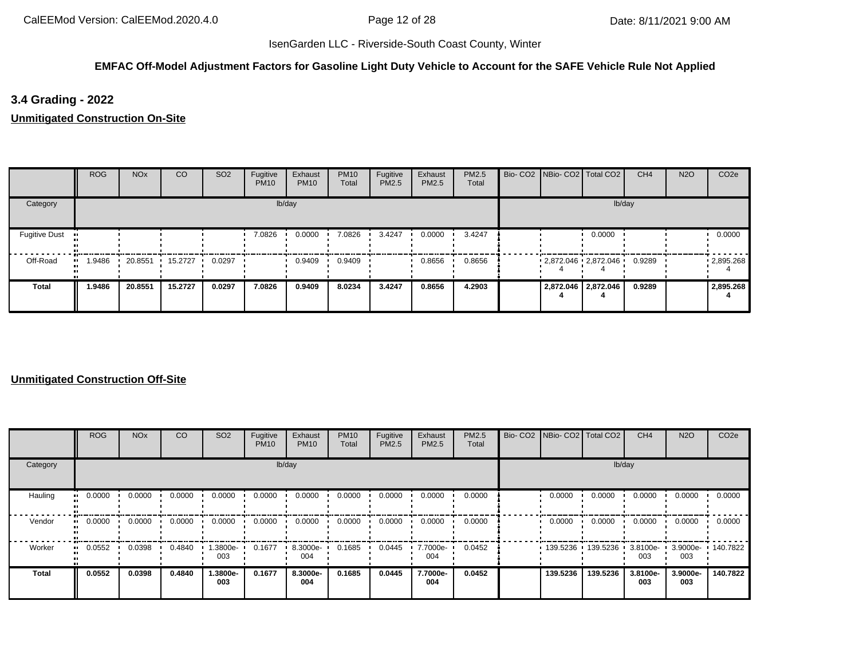### **EMFAC Off-Model Adjustment Factors for Gasoline Light Duty Vehicle to Account for the SAFE Vehicle Rule Not Applied**

## **3.4 Grading - 2022**

**Unmitigated Construction On-Site**

|                      | <b>ROG</b> | <b>NO<sub>x</sub></b> | CO      | SO <sub>2</sub> | Fugitive<br><b>PM10</b> | Exhaust<br><b>PM10</b> | <b>PM10</b><br>Total | Fugitive<br>PM2.5 | Exhaust<br>PM2.5 | PM2.5<br>Total |  | Bio- CO2 NBio- CO2 Total CO2 | CH <sub>4</sub> | <b>N2O</b> | CO <sub>2e</sub> |
|----------------------|------------|-----------------------|---------|-----------------|-------------------------|------------------------|----------------------|-------------------|------------------|----------------|--|------------------------------|-----------------|------------|------------------|
| Category             |            |                       |         |                 |                         | lb/day                 |                      |                   |                  |                |  | lb/day                       |                 |            |                  |
| <b>Fugitive Dust</b> |            |                       |         |                 | 7.0826                  | 0.0000                 | 7.0826               | 3.4247            | 0.0000           | 3.4247         |  | 0.0000                       |                 |            | 0.0000           |
| Off-Road             | 1.9486<br> | 20.8551               | 15.2727 | 0.0297          |                         | 0.9409                 | 0.9409               |                   | 0.8656           | 0.8656         |  | $2,872.046$ $2,872.046$      | 0.9289          |            | .2,895.268       |
| <b>Total</b>         | 1.9486     | 20.8551               | 15.2727 | 0.0297          | 7.0826                  | 0.9409                 | 8.0234               | 3.4247            | 0.8656           | 4.2903         |  | 2,872.046 2,872.046          | 0.9289          |            | 2,895.268        |

|          | <b>ROG</b>            | <b>NO<sub>x</sub></b> | CO     | SO <sub>2</sub> | Fugitive<br><b>PM10</b> | Exhaust<br><b>PM10</b> | <b>PM10</b><br>Total | Fugitive<br>PM2.5 | Exhaust<br>PM2.5 | PM2.5<br>Total | Bio- CO2 NBio- CO2 Total CO2 |          | CH <sub>4</sub>    | <b>N2O</b>               | CO <sub>2e</sub> |
|----------|-----------------------|-----------------------|--------|-----------------|-------------------------|------------------------|----------------------|-------------------|------------------|----------------|------------------------------|----------|--------------------|--------------------------|------------------|
| Category |                       |                       |        |                 |                         | lb/day                 |                      |                   |                  |                |                              | lb/day   |                    |                          |                  |
| Hauling  | 0.0000<br>            | 0.0000                | 0.0000 | 0.0000          | 0.0000                  | 0.0000                 | 0.0000               | 0.0000            | 0.0000           | 0.0000         | 0.0000                       | 0.0000   | 0.0000             | 0.0000                   | 0.0000           |
| Vendor   | $\blacksquare$ 0.0000 | 0.0000                | 0.0000 | 0.0000          | 0.0000                  | 0.0000                 | 0.0000               | 0.0000            | 0.0000           | 0.0000         | 0.0000                       | 0.0000   | 0.0000             | 0.0000                   | 0.0000           |
| Worker   | 0.0552<br>            | 0.0398                | 0.4840 | -3800e.<br>003  | 0.1677                  | 8.3000e-<br>004        | 0.1685               | 0.0445            | 7.7000e-<br>004  | 0.0452         | 139.5236                     | 139.5236 | $3.8100e -$<br>003 | 3.9000e- 140.7822<br>003 |                  |
| Total    | 0.0552                | 0.0398                | 0.4840 | -.3800e<br>003  | 0.1677                  | 8.3000e-<br>004        | 0.1685               | 0.0445            | 7.7000e-<br>004  | 0.0452         | 139.5236                     | 139.5236 | 3.8100e-<br>003    | 3.9000e-<br>003          | 140.7822         |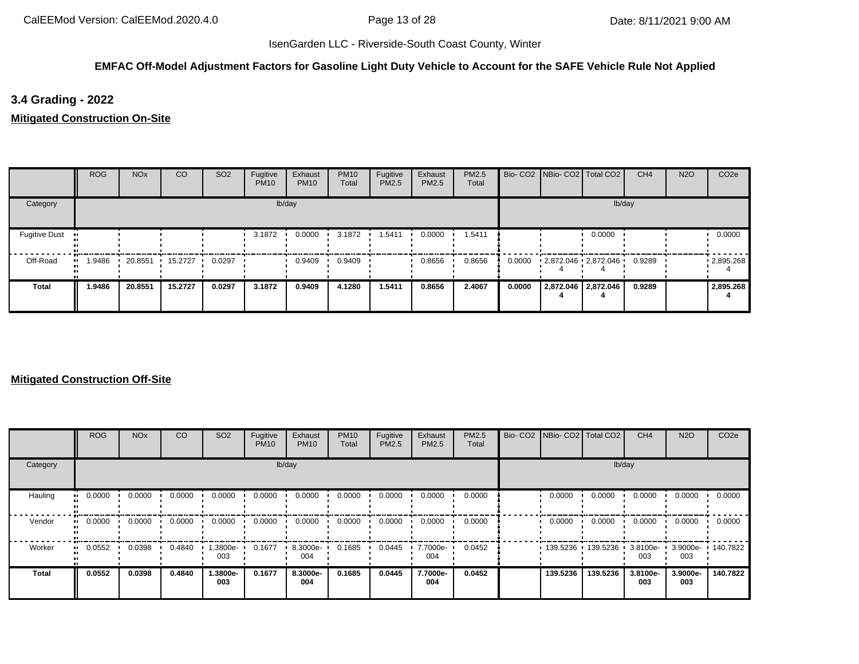### **EMFAC Off-Model Adjustment Factors for Gasoline Light Duty Vehicle to Account for the SAFE Vehicle Rule Not Applied**

# **3.4 Grading - 2022**

**Mitigated Construction On-Site**

|                      | ROG    | <b>NO<sub>x</sub></b> | CO      | SO <sub>2</sub> | Fugitive<br><b>PM10</b> | Exhaust<br><b>PM10</b> | <b>PM10</b><br>Total | Fugitive<br>PM2.5 | Exhaust<br>PM2.5 | PM2.5<br>Total |        | Bio- CO2 NBio- CO2 Total CO2 |                     | CH <sub>4</sub> | <b>N2O</b> | CO <sub>2e</sub> |
|----------------------|--------|-----------------------|---------|-----------------|-------------------------|------------------------|----------------------|-------------------|------------------|----------------|--------|------------------------------|---------------------|-----------------|------------|------------------|
| Category             |        |                       |         |                 |                         | lb/day                 |                      |                   |                  |                |        |                              | lb/day              |                 |            |                  |
| <b>Fugitive Dust</b> |        |                       |         |                 | 3.1872                  | 0.0000                 | 3.1872               | 1.5411            | 0.0000           | 1.5411         |        |                              | 0.0000              |                 |            | 0.0000           |
| Off-Road             | .9486  | 20.8551               | 15.2727 | 0.0297          |                         | 0.9409                 | 0.9409               |                   | 0.8656           | 0.8656         | 0.0000 | 2,872.046 2,872.046          |                     | 0.9289          |            | .2895.268        |
| <b>Total</b>         | 1.9486 | 20.8551               | 15.2727 | 0.0297          | 3.1872                  | 0.9409                 | 4.1280               | 1.5411            | 0.8656           | 2.4067         | 0.0000 |                              | 2,872.046 2,872.046 | 0.9289          |            | 2,895.268        |

|          | <b>ROG</b>            | <b>NO<sub>x</sub></b> | CO     | SO <sub>2</sub> | Fugitive<br><b>PM10</b> | Exhaust<br><b>PM10</b> | <b>PM10</b><br>Total | Fugitive<br>PM2.5 | Exhaust<br>PM2.5 | PM2.5<br>Total | Bio- CO2 NBio- CO2 Total CO2 |          | CH <sub>4</sub>    | <b>N2O</b>               | CO <sub>2e</sub> |
|----------|-----------------------|-----------------------|--------|-----------------|-------------------------|------------------------|----------------------|-------------------|------------------|----------------|------------------------------|----------|--------------------|--------------------------|------------------|
| Category |                       |                       |        |                 |                         | lb/day                 |                      |                   |                  |                |                              | lb/day   |                    |                          |                  |
| Hauling  | 0.0000<br>            | 0.0000                | 0.0000 | 0.0000          | 0.0000                  | 0.0000                 | 0.0000               | 0.0000            | 0.0000           | 0.0000         | 0.0000                       | 0.0000   | 0.0000             | 0.0000                   | 0.0000           |
| Vendor   | $\blacksquare$ 0.0000 | 0.0000                | 0.0000 | 0.0000          | 0.0000                  | 0.0000                 | 0.0000               | 0.0000            | 0.0000           | 0.0000         | 0.0000                       | 0.0000   | 0.0000             | 0.0000                   | 0.0000           |
| Worker   | 0.0552<br>            | 0.0398                | 0.4840 | -3800e.<br>003  | 0.1677                  | 8.3000e-<br>004        | 0.1685               | 0.0445            | 7.7000e-<br>004  | 0.0452         | 139.5236                     | 139.5236 | $3.8100e -$<br>003 | 3.9000e- 140.7822<br>003 |                  |
| Total    | 0.0552                | 0.0398                | 0.4840 | -.3800e<br>003  | 0.1677                  | 8.3000e-<br>004        | 0.1685               | 0.0445            | 7.7000e-<br>004  | 0.0452         | 139.5236                     | 139.5236 | 3.8100e-<br>003    | 3.9000e-<br>003          | 140.7822         |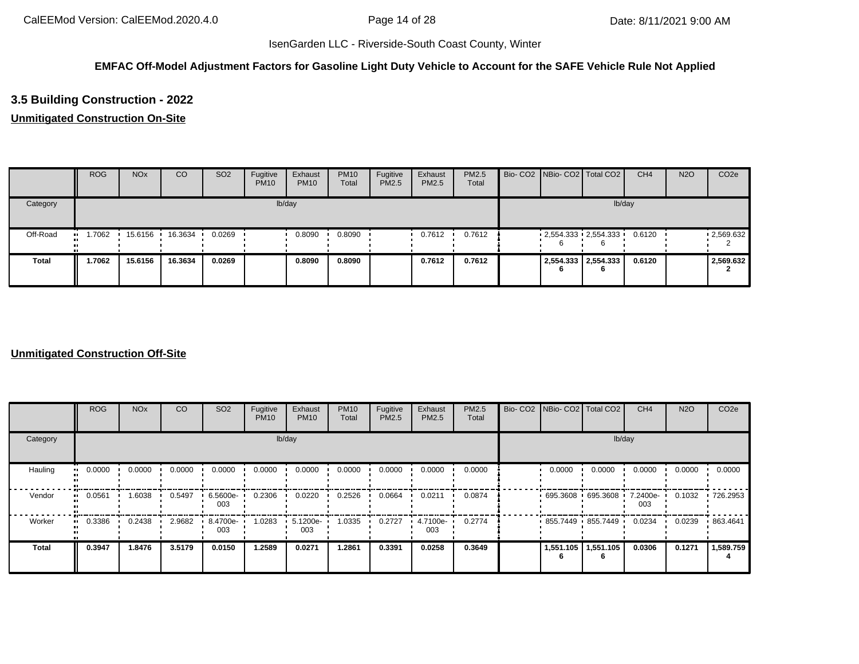### **EMFAC Off-Model Adjustment Factors for Gasoline Light Duty Vehicle to Account for the SAFE Vehicle Rule Not Applied**

# **3.5 Building Construction - 2022**

### **Unmitigated Construction On-Site**

|              | <b>ROG</b> | <b>NO<sub>x</sub></b> | CO      | SO <sub>2</sub> | Fugitive<br><b>PM10</b> | Exhaust<br><b>PM10</b> | <b>PM10</b><br>Total | Fugitive<br>PM2.5 | Exhaust<br>PM2.5 | PM2.5<br>Total |  | Bio- CO2 NBio- CO2 Total CO2 | CH <sub>4</sub> | <b>N2O</b> | CO <sub>2e</sub> |
|--------------|------------|-----------------------|---------|-----------------|-------------------------|------------------------|----------------------|-------------------|------------------|----------------|--|------------------------------|-----------------|------------|------------------|
| Category     |            |                       |         |                 |                         | lb/day                 |                      |                   |                  |                |  | lb/day                       |                 |            |                  |
| Off-Road     | .7062      | 15.6156               | 16.3634 | 0.0269          |                         | 0.8090                 | 0.8090               |                   | 0.7612           | 0.7612         |  | $2,554.333$ $2,554.333$      | 0.6120          |            | .2,569.632       |
| <b>Total</b> | 1.7062     | 15.6156               | 16.3634 | 0.0269          |                         | 0.8090                 | 0.8090               |                   | 0.7612           | 0.7612         |  | 2,554.333 2,554.333<br>6     | 0.6120          |            | 2,569.632        |

|                      | <b>ROG</b> | <b>NO<sub>x</sub></b> | CO     | SO <sub>2</sub> | Fugitive<br><b>PM10</b> | Exhaust<br><b>PM10</b> | <b>PM10</b><br>Total | Fugitive<br>PM2.5 | Exhaust<br>PM2.5 | PM2.5<br>Total | Bio- CO2 NBio- CO2 Total CO2 |           | CH <sub>4</sub> | <b>N2O</b> | CO <sub>2e</sub> |
|----------------------|------------|-----------------------|--------|-----------------|-------------------------|------------------------|----------------------|-------------------|------------------|----------------|------------------------------|-----------|-----------------|------------|------------------|
| Category             |            |                       |        |                 |                         | lb/day                 |                      |                   |                  |                |                              | lb/day    |                 |            |                  |
| Hauling<br>$\bullet$ | 0.0000     | 0.0000                | 0.0000 | 0.0000          | 0.0000                  | 0.0000                 | 0.0000               | 0.0000            | 0.0000           | 0.0000         | 0.0000                       | 0.0000    | 0.0000          | 0.0000     | 0.0000           |
| Vendor<br>$\bullet$  | 0.0561     | 1.6038                | 0.5497 | 6.5600e-<br>003 | 0.2306                  | 0.0220                 | 0.2526               | 0.0664            | 0.0211           | 0.0874         | 695.3608 695.3608            |           | 7.2400e-<br>003 | 0.1032     | .726.2953        |
| Worker               | 0.3386     | 0.2438                | 2.9682 | 8.4700e-<br>003 | 1.0283                  | 5.1200e-<br>003        | 1.0335               | 0.2727            | 4.7100e-<br>003  | 0.2774         | $855.7449$ 855.7449          |           | 0.0234          | 0.0239     | 863.4641         |
| <b>Total</b>         | 0.3947     | 1.8476                | 3.5179 | 0.0150          | 1.2589                  | 0.0271                 | 1.2861               | 0.3391            | 0.0258           | 0.3649         | 1,551.105                    | 1,551.105 | 0.0306          | 0.1271     | 1,589.759        |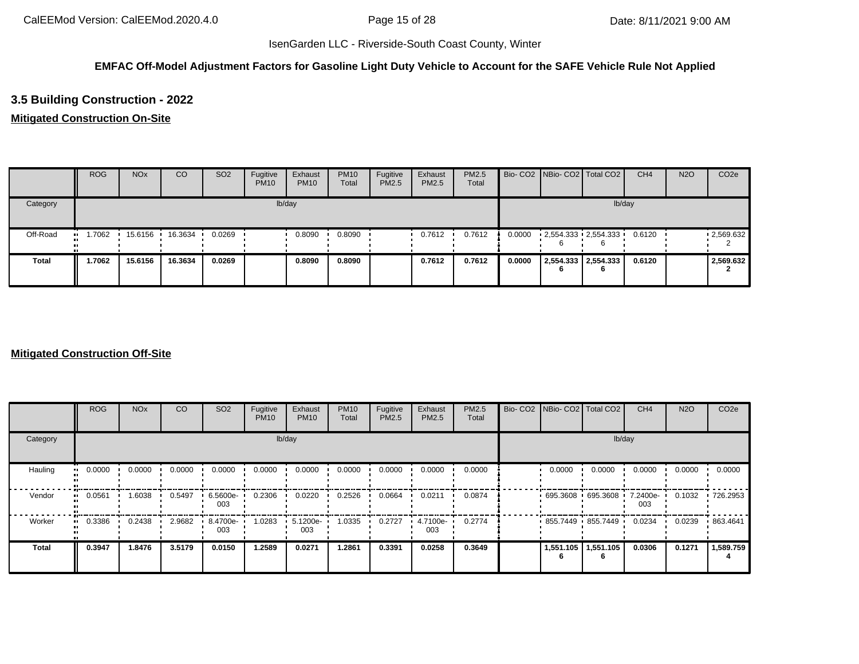### **EMFAC Off-Model Adjustment Factors for Gasoline Light Duty Vehicle to Account for the SAFE Vehicle Rule Not Applied**

# **3.5 Building Construction - 2022**

### **Mitigated Construction On-Site**

|              | <b>ROG</b> | <b>NO<sub>x</sub></b> | CO      | SO <sub>2</sub> | Fugitive<br><b>PM10</b> | Exhaust<br><b>PM10</b> | <b>PM10</b><br>Total | Fugitive<br>PM2.5 | Exhaust<br>PM2.5 | PM2.5<br>Total |        |   | Bio- CO2   NBio- CO2   Total CO2 | CH <sub>4</sub> | <b>N2O</b> | CO <sub>2e</sub> |
|--------------|------------|-----------------------|---------|-----------------|-------------------------|------------------------|----------------------|-------------------|------------------|----------------|--------|---|----------------------------------|-----------------|------------|------------------|
| Category     |            |                       |         |                 |                         | lb/day                 |                      |                   |                  |                |        |   | lb/day                           |                 |            |                  |
| Off-Road     | .7062      | 15.6156               | 16.3634 | 0.0269          |                         | 0.8090                 | 0.8090               |                   | 0.7612           | 0.7612         | 0.0000 |   | $-2,554.333 - 2,554.333$         | 0.6120          |            | .2,569.632       |
| <b>Total</b> | 1.7062     | 15.6156               | 16.3634 | 0.0269          |                         | 0.8090                 | 0.8090               |                   | 0.7612           | 0.7612         | 0.0000 | O | 2,554.333 2,554.333              | 0.6120          |            | 2,569.632        |

|                     | <b>ROG</b>                 | <b>NO<sub>x</sub></b> | CO     | SO <sub>2</sub> | Fugitive<br><b>PM10</b> | Exhaust<br><b>PM10</b> | <b>PM10</b><br>Total | Fugitive<br>PM2.5 | Exhaust<br>PM2.5 | PM2.5<br>Total | Bio- CO2 NBio- CO2 Total CO2 |           | CH <sub>4</sub> | <b>N2O</b> | CO <sub>2e</sub> |
|---------------------|----------------------------|-----------------------|--------|-----------------|-------------------------|------------------------|----------------------|-------------------|------------------|----------------|------------------------------|-----------|-----------------|------------|------------------|
| Category            |                            |                       |        |                 |                         | lb/day                 |                      |                   |                  |                |                              | lb/day    |                 |            |                  |
| Hauling             | 0.0000<br>$\bullet\bullet$ | 0.0000                | 0.0000 | 0.0000          | 0.0000                  | 0.0000                 | 0.0000               | 0.0000            | 0.0000           | 0.0000         | 0.0000                       | 0.0000    | 0.0000          | 0.0000     | 0.0000           |
| Vendor<br>$\bullet$ | 0.0561                     | 1.6038                | 0.5497 | 6.5600e-<br>003 | 0.2306                  | 0.0220                 | 0.2526               | 0.0664            | 0.0211           | 0.0874         | $-695.3608 - 695.3608$       |           | 7.2400e-<br>003 | 0.1032     | .726.2953        |
| Worker<br>$\bullet$ | 0.3386                     | 0.2438                | 2.9682 | 8.4700e-<br>003 | 1.0283                  | 5.1200e-<br>003        | 1.0335               | 0.2727            | 4.7100e-<br>003  | 0.2774         | 855.7449 855.7449            |           | 0.0234          | 0.0239     | .863.4641        |
| <b>Total</b>        | 0.3947                     | 1.8476                | 3.5179 | 0.0150          | 1.2589                  | 0.0271                 | 1.2861               | 0.3391            | 0.0258           | 0.3649         | 1,551.105                    | 1,551.105 | 0.0306          | 0.1271     | 1,589.759        |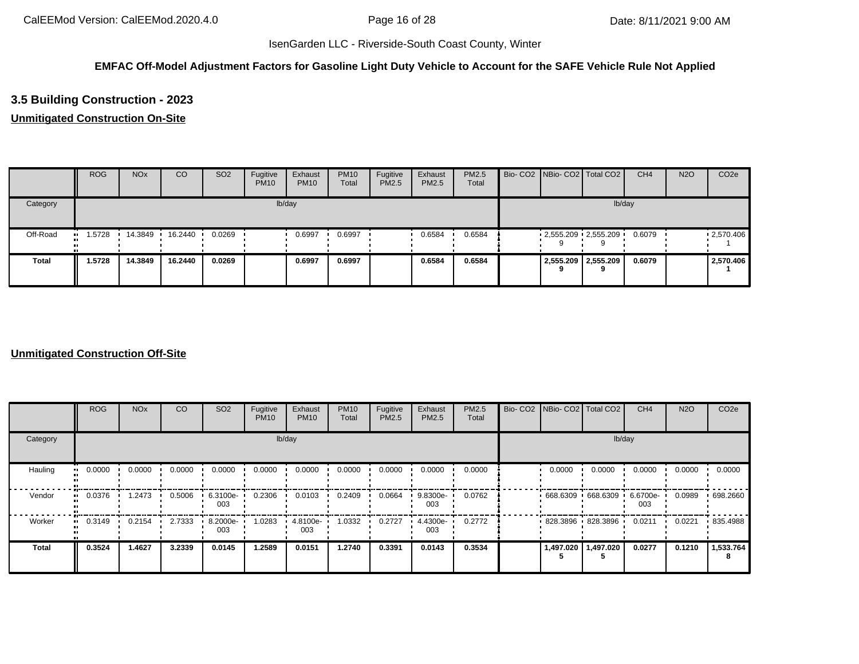### **EMFAC Off-Model Adjustment Factors for Gasoline Light Duty Vehicle to Account for the SAFE Vehicle Rule Not Applied**

# **3.5 Building Construction - 2023**

### **Unmitigated Construction On-Site**

|              | <b>ROG</b> | <b>NO<sub>x</sub></b> | CO        | SO <sub>2</sub> | Fugitive<br><b>PM10</b> | Exhaust<br><b>PM10</b> | <b>PM10</b><br>Total | Fugitive<br>PM2.5 | Exhaust<br>PM2.5 | PM2.5<br>Total |  | Bio- CO2 NBio- CO2 Total CO2 | CH <sub>4</sub> | <b>N2O</b> | CO <sub>2e</sub> |
|--------------|------------|-----------------------|-----------|-----------------|-------------------------|------------------------|----------------------|-------------------|------------------|----------------|--|------------------------------|-----------------|------------|------------------|
| Category     |            |                       |           |                 |                         | lb/day                 |                      |                   |                  |                |  | lb/day                       |                 |            |                  |
| Off-Road     | .5728<br>  | 14.3849               | 16.2440 · | 0.0269          |                         | 0.6997                 | 0.6997               |                   | 0.6584           | 0.6584         |  | $-2,555.209 - 2,555.209$     | 0.6079          |            | .2,570.406       |
| <b>Total</b> | 1.5728     | 14.3849               | 16.2440   | 0.0269          |                         | 0.6997                 | 0.6997               |                   | 0.6584           | 0.6584         |  | 2,555.209 2,555.209<br>Ω     | 0.6079          |            | 2,570.406        |

|                      | <b>ROG</b> | <b>NO<sub>x</sub></b> | CO     | SO <sub>2</sub> | Fugitive<br><b>PM10</b> | Exhaust<br><b>PM10</b> | <b>PM10</b><br>Total | Fugitive<br>PM2.5 | Exhaust<br>PM2.5 | PM2.5<br>Total | Bio- CO2 NBio- CO2 Total CO2 |                       | CH <sub>4</sub> | <b>N2O</b> | CO <sub>2e</sub> |
|----------------------|------------|-----------------------|--------|-----------------|-------------------------|------------------------|----------------------|-------------------|------------------|----------------|------------------------------|-----------------------|-----------------|------------|------------------|
| Category             |            |                       |        |                 |                         | lb/day                 |                      |                   |                  |                |                              | lb/day                |                 |            |                  |
| Hauling<br>$\bullet$ | 0.0000     | 0.0000                | 0.0000 | 0.0000          | 0.0000                  | 0.0000                 | 0.0000               | 0.0000            | 0.0000           | 0.0000         | 0.0000                       | 0.0000                | 0.0000          | 0.0000     | 0.0000           |
| Vendor<br>$\bullet$  | 0.0376     | 1.2473                | 0.5006 | 6.3100e-<br>003 | 0.2306                  | 0.0103                 | 0.2409               | 0.0664            | 9.8300e-<br>003  | 0.0762         | $668.6309$ 668.6309          |                       | 6.6700e-<br>003 | 0.0989     | .698.2660        |
| Worker<br>$\bullet$  | 0.3149     | 0.2154                | 2.7333 | 8.2000e-<br>003 | 1.0283                  | 4.8100e-<br>003        | 1.0332               | 0.2727            | 4.4300e-<br>003  | 0.2772         | $828.3896$ 828.3896          |                       | 0.0211          | 0.0221     | 835.4988         |
| <b>Total</b>         | 0.3524     | 1.4627                | 3.2339 | 0.0145          | 1.2589                  | 0.0151                 | 1.2740               | 0.3391            | 0.0143           | 0.3534         |                              | 1,497.020   1,497.020 | 0.0277          | 0.1210     | 1,533.764        |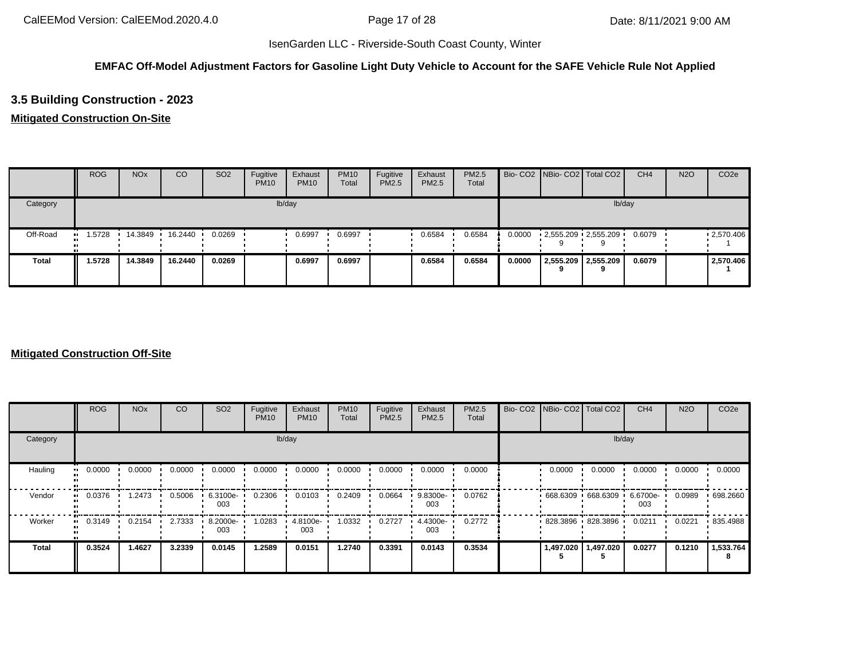### **EMFAC Off-Model Adjustment Factors for Gasoline Light Duty Vehicle to Account for the SAFE Vehicle Rule Not Applied**

# **3.5 Building Construction - 2023**

### **Mitigated Construction On-Site**

|              | <b>ROG</b>    | <b>NO<sub>x</sub></b> | CO      | SO <sub>2</sub> | Fugitive<br><b>PM10</b> | Exhaust<br><b>PM10</b> | <b>PM10</b><br>Total | Fugitive<br>PM2.5 | Exhaust<br>PM2.5 | <b>PM2.5</b><br>Total |        |   | Bio- CO2   NBio- CO2   Total CO2 | CH <sub>4</sub> | <b>N2O</b> | CO <sub>2e</sub> |
|--------------|---------------|-----------------------|---------|-----------------|-------------------------|------------------------|----------------------|-------------------|------------------|-----------------------|--------|---|----------------------------------|-----------------|------------|------------------|
| Category     |               |                       |         |                 |                         | lb/day                 |                      |                   |                  |                       |        |   | lb/day                           |                 |            |                  |
| Off-Road     | 1.5728<br>. . | 14.3849               | 16.2440 | 0.0269          |                         | 0.6997                 | 0.6997               |                   | 0.6584           | 0.6584                | 0.0000 |   | $2,555.209$ $2,555.209$          | 0.6079          |            | .2570.406        |
| <b>Total</b> | 1.5728        | 14.3849               | 16.2440 | 0.0269          |                         | 0.6997                 | 0.6997               |                   | 0.6584           | 0.6584                | 0.0000 | 9 | 2,555.209 2,555.209              | 0.6079          |            | 2,570.406        |

|                     | <b>ROG</b>                 | <b>NO<sub>x</sub></b> | CO     | SO <sub>2</sub> | Fugitive<br><b>PM10</b> | Exhaust<br><b>PM10</b> | <b>PM10</b><br>Total | Fugitive<br>PM2.5 | Exhaust<br>PM2.5 | PM2.5<br>Total | Bio- CO2 NBio- CO2 Total CO2 |           | CH <sub>4</sub> | <b>N2O</b> | CO <sub>2e</sub> |
|---------------------|----------------------------|-----------------------|--------|-----------------|-------------------------|------------------------|----------------------|-------------------|------------------|----------------|------------------------------|-----------|-----------------|------------|------------------|
| Category            |                            |                       |        |                 |                         | lb/day                 |                      |                   |                  |                |                              | lb/day    |                 |            |                  |
| Hauling             | 0.0000<br>$\bullet\bullet$ | 0.0000                | 0.0000 | 0.0000          | 0.0000                  | 0.0000                 | 0.0000               | 0.0000            | 0.0000           | 0.0000         | 0.0000                       | 0.0000    | 0.0000          | 0.0000     | 0.0000           |
| Vendor<br>$\bullet$ | 0.0376                     | 1.2473                | 0.5006 | 6.3100e-<br>003 | 0.2306                  | 0.0103                 | 0.2409               | 0.0664            | 9.8300e-<br>003  | 0.0762         | $668.6309$ 668.6309          |           | 6.6700e-<br>003 | 0.0989     | .698.2660        |
| Worker<br>$\bullet$ | 0.3149                     | 0.2154                | 2.7333 | 8.2000e-<br>003 | 1.0283                  | 4.8100e-<br>003        | 1.0332               | 0.2727            | 4.4300e-<br>003  | 0.2772         | 828.3896 828.3896            |           | 0.0211          | 0.0221     | 835.4988         |
| <b>Total</b>        | 0.3524                     | 1.4627                | 3.2339 | 0.0145          | 1.2589                  | 0.0151                 | 1.2740               | 0.3391            | 0.0143           | 0.3534         | 1,497.020                    | 1,497.020 | 0.0277          | 0.1210     | 1,533.764        |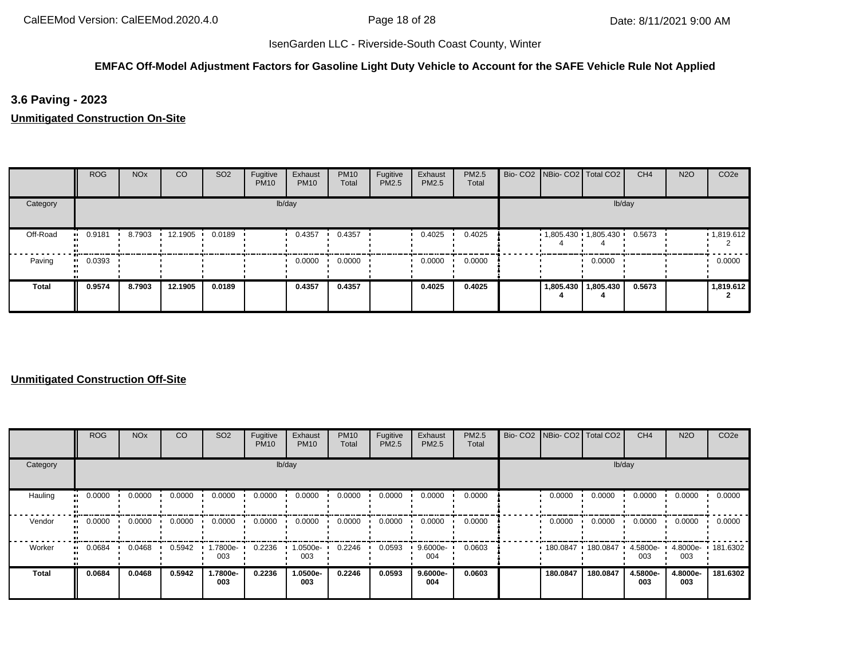### **EMFAC Off-Model Adjustment Factors for Gasoline Light Duty Vehicle to Account for the SAFE Vehicle Rule Not Applied**

**3.6 Paving - 2023**

**Unmitigated Construction On-Site**

|              | <b>ROG</b> | <b>NO<sub>x</sub></b> | CO        | SO <sub>2</sub> | Fugitive<br><b>PM10</b> | Exhaust<br><b>PM10</b> | <b>PM10</b><br>Total | Fugitive<br>PM2.5 | Exhaust<br>PM2.5 | PM2.5<br>Total | Bio- CO2   NBio- CO2   Total CO2 |                       | CH <sub>4</sub> | <b>N2O</b> | CO <sub>2e</sub> |
|--------------|------------|-----------------------|-----------|-----------------|-------------------------|------------------------|----------------------|-------------------|------------------|----------------|----------------------------------|-----------------------|-----------------|------------|------------------|
| Category     |            |                       |           |                 |                         | lb/day                 |                      |                   |                  |                |                                  |                       | lb/day          |            |                  |
| Off-Road     | 0.9181     | 8.7903                | 12.1905 · | 0.0189          |                         | 0.4357                 | 0.4357               |                   | 0.4025           | 0.4025         | $1,805.430$ 1,805.430            |                       | 0.5673          |            | 1,819.612        |
| Paving       | 0.0393     |                       |           |                 |                         | 0.0000                 | 0.0000               |                   | 0.0000           | 0.0000         |                                  | 0.0000                |                 |            | 0.0000           |
| <b>Total</b> | 0.9574     | 8.7903                | 12.1905   | 0.0189          |                         | 0.4357                 | 0.4357               |                   | 0.4025           | 0.4025         |                                  | 1,805.430   1,805.430 | 0.5673          |            | 1,819.612        |

|          | <b>ROG</b>            | <b>NO<sub>x</sub></b> | <b>CO</b> | SO <sub>2</sub> | Fugitive<br><b>PM10</b> | Exhaust<br><b>PM10</b> | <b>PM10</b><br>Total | Fugitive<br><b>PM2.5</b> | Exhaust<br>PM2.5 | PM2.5<br>Total | Bio- CO2   NBio- CO2   Total CO2 |          | CH <sub>4</sub>    | <b>N2O</b>      | CO <sub>2e</sub>  |
|----------|-----------------------|-----------------------|-----------|-----------------|-------------------------|------------------------|----------------------|--------------------------|------------------|----------------|----------------------------------|----------|--------------------|-----------------|-------------------|
| Category |                       |                       |           |                 |                         | lb/day                 |                      |                          |                  |                |                                  | lb/day   |                    |                 |                   |
| Hauling  | 0.0000<br>            | 0.0000                | 0.0000    | 0.0000          | 0.0000                  | 0.0000                 | 0.0000               | 0.0000                   | 0.0000           | 0.0000         | 0.0000                           | 0.0000   | 0.0000             | 0.0000          | 0.0000            |
| Vendor   | $\blacksquare$ 0.0000 | 0.0000                | 0.0000    | 0.0000          | 0.0000                  | 0.0000                 | 0.0000               | 0.0000                   | 0.0000           | 0.0000         | 0.0000                           | 0.0000   | 0.0000             | 0.0000          | 0.0000            |
| Worker   | 0.0684<br>            | 0.0468                | 0.5942    | -7800e.<br>003  | 0.2236                  | 1.0500e-<br>003        | 0.2246               | 0.0593                   | 9.6000e-<br>004  | 0.0603         | 180.0847                         | 180.0847 | $4.5800e -$<br>003 | 003             | 4.8000e- 181.6302 |
| Total    | 0.0684                | 0.0468                | 0.5942    | 1.7800e-<br>003 | 0.2236                  | 1.0500e-<br>003        | 0.2246               | 0.0593                   | 9.6000e-<br>004  | 0.0603         | 180.0847                         | 180.0847 | 4.5800e-<br>003    | 4.8000e-<br>003 | 181.6302          |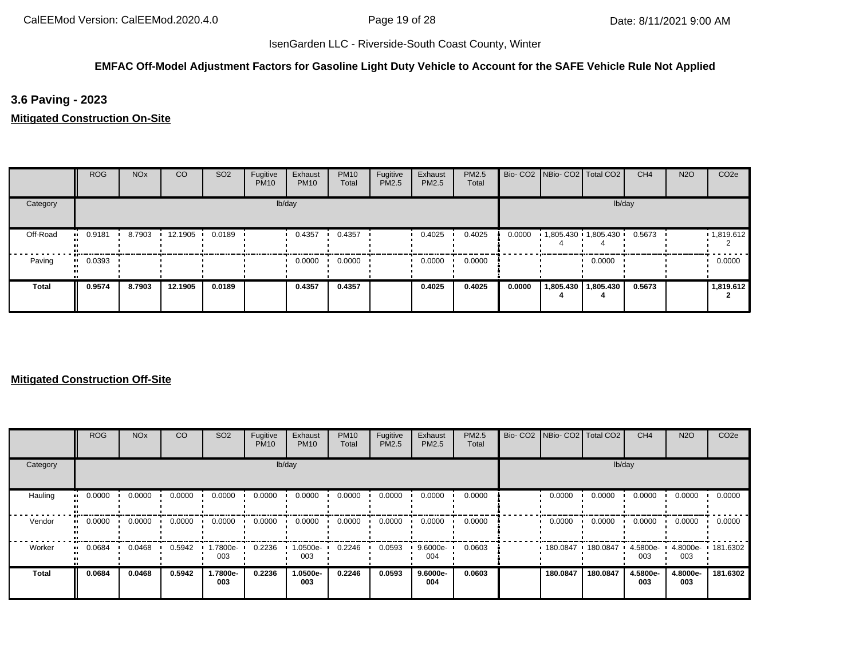### **EMFAC Off-Model Adjustment Factors for Gasoline Light Duty Vehicle to Account for the SAFE Vehicle Rule Not Applied**

**3.6 Paving - 2023**

**Mitigated Construction On-Site**

|          | <b>ROG</b> | <b>NO<sub>x</sub></b> | <sub>CO</sub> | SO <sub>2</sub> | Fugitive<br><b>PM10</b> | Exhaust<br><b>PM10</b> | <b>PM10</b><br>Total | Fugitive<br>PM2.5 | Exhaust<br><b>PM2.5</b> | PM2.5<br>Total |        | Bio- CO2   NBio- CO2   Total CO2 |                       | CH <sub>4</sub> | <b>N2O</b> | CO <sub>2e</sub> |
|----------|------------|-----------------------|---------------|-----------------|-------------------------|------------------------|----------------------|-------------------|-------------------------|----------------|--------|----------------------------------|-----------------------|-----------------|------------|------------------|
| Category |            |                       |               |                 |                         | lb/day                 |                      |                   |                         |                |        |                                  |                       | lb/day          |            |                  |
| Off-Road | $-0.9181$  | 8.7903                | 12.1905       | 0.0189          |                         | 0.4357                 | 0.4357               |                   | 0.4025                  | 0.4025         | 0.0000 | $1,805.430$ $1,805.430$          |                       | 0.5673          |            | 1,819.612        |
| Paving   | 0.0393<br> |                       |               |                 |                         | 0.0000                 | 0.0000               |                   | 0.0000                  | 0.0000         |        |                                  | 0.0000                |                 |            | 0.0000           |
| Total    | 0.9574     | 8.7903                | 12.1905       | 0.0189          |                         | 0.4357                 | 0.4357               |                   | 0.4025                  | 0.4025         | 0.0000 |                                  | 1,805.430   1,805.430 | 0.5673          |            | 1,819.612        |

|              | <b>ROG</b> | <b>NO<sub>x</sub></b> | <sub>CO</sub> | SO <sub>2</sub> | Fugitive<br><b>PM10</b> | Exhaust<br><b>PM10</b> | <b>PM10</b><br>Total | Fugitive<br>PM2.5 | Exhaust<br>PM2.5 | PM2.5<br>Total | Bio- CO2 NBio- CO2 Total CO2 |          | CH <sub>4</sub>    | <b>N2O</b>      | CO <sub>2e</sub>  |
|--------------|------------|-----------------------|---------------|-----------------|-------------------------|------------------------|----------------------|-------------------|------------------|----------------|------------------------------|----------|--------------------|-----------------|-------------------|
| Category     |            |                       |               |                 |                         | lb/day                 |                      |                   |                  |                |                              | lb/day   |                    |                 |                   |
| Hauling      | 0.0000     | 0.0000                | 0.0000        | 0.0000          | 0.0000                  | 0.0000                 | 0.0000               | 0.0000            | 0.0000           | 0.0000         | 0.0000                       | 0.0000   | 0.0000             | 0.0000          | 0.0000            |
| Vendor       | 0.0000     | 0.0000                | 0.0000        | 0.0000          | 0.0000                  | 0.0000                 | 0.0000               | 0.0000            | 0.0000           | 0.0000         | 0.0000                       | 0.0000   | 0.0000             | 0.0000          | 0.0000            |
| Worker       | 0.0684     | 0.0468                | 0.5942        | 1.7800e-<br>003 | 0.2236                  | 1.0500e-<br>003        | 0.2246               | 0.0593            | 9.6000e-<br>004  | 0.0603         | 180.0847                     | 180.0847 | $4.5800e -$<br>003 | 003             | 4.8000e- 181.6302 |
| <b>Total</b> | 0.0684     | 0.0468                | 0.5942        | 1.7800e-<br>003 | 0.2236                  | 1.0500e-<br>003        | 0.2246               | 0.0593            | 9.6000e-<br>004  | 0.0603         | 180.0847                     | 180.0847 | 4.5800e-<br>003    | 4.8000e-<br>003 | 181.6302          |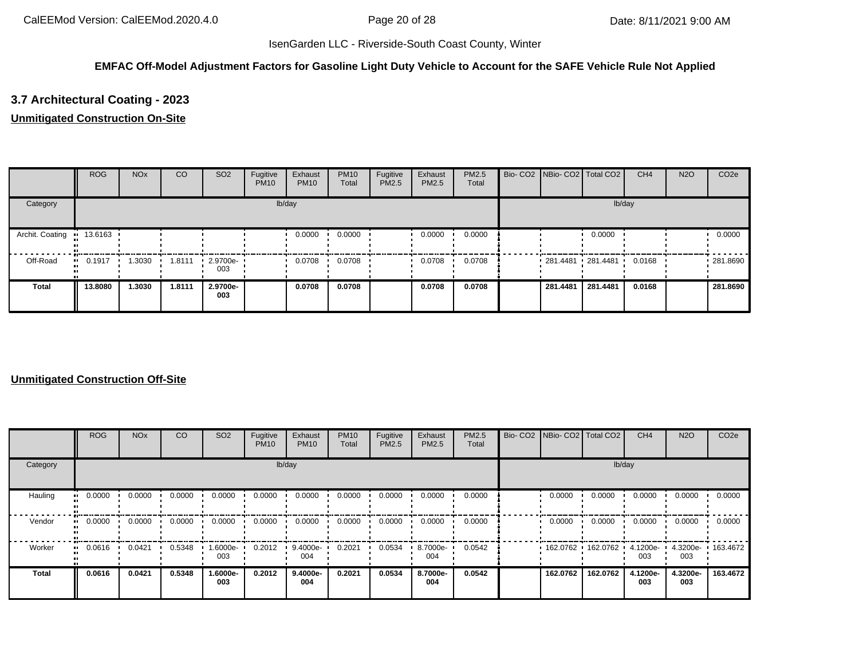### **EMFAC Off-Model Adjustment Factors for Gasoline Light Duty Vehicle to Account for the SAFE Vehicle Rule Not Applied**

# **3.7 Architectural Coating - 2023**

#### **Unmitigated Construction On-Site**

|                 | <b>ROG</b>            | <b>NO<sub>x</sub></b> | CO     | SO <sub>2</sub>         | Fugitive<br><b>PM10</b> | Exhaust<br><b>PM10</b> | <b>PM10</b><br>Total | Fugitive<br>PM2.5 | Exhaust<br><b>PM2.5</b> | <b>PM2.5</b><br>Total | Bio- CO2   NBio- CO2   Total CO2 |          | CH <sub>4</sub> | <b>N2O</b> | CO <sub>2e</sub> |
|-----------------|-----------------------|-----------------------|--------|-------------------------|-------------------------|------------------------|----------------------|-------------------|-------------------------|-----------------------|----------------------------------|----------|-----------------|------------|------------------|
| Category        |                       |                       |        |                         |                         | lb/day                 |                      |                   |                         |                       |                                  | lb/day   |                 |            |                  |
| Archit. Coating | ■ 13.6163             |                       |        |                         |                         | 0.0000                 | 0.0000               |                   | 0.0000                  | 0.0000                |                                  | 0.0000   |                 |            | 0.0000           |
| Off-Road        | $\blacksquare$ 0.1917 | 1.3030                | 1.8111 | $\cdot$ 2.9700e-<br>003 |                         | 0.0708                 | 0.0708               |                   | 0.0708                  | 0.0708                | 281.4481 281.4481 '              |          | 0.0168          |            | .281.8690        |
| Total           | 13.8080               | 1.3030                | 1.8111 | 2.9700e-<br>003         |                         | 0.0708                 | 0.0708               |                   | 0.0708                  | 0.0708                | 281.4481                         | 281.4481 | 0.0168          |            | 281.8690         |

|              | ROG    | <b>NO<sub>x</sub></b> | <sub>CO</sub> | SO <sub>2</sub> | Fugitive<br><b>PM10</b> | Exhaust<br><b>PM10</b> | <b>PM10</b><br>Total | Fugitive<br>PM2.5 | Exhaust<br>PM2.5 | PM2.5<br>Total | Bio- CO2   NBio- CO2   Total CO2 |          | CH <sub>4</sub> | <b>N2O</b>      | CO <sub>2e</sub> |
|--------------|--------|-----------------------|---------------|-----------------|-------------------------|------------------------|----------------------|-------------------|------------------|----------------|----------------------------------|----------|-----------------|-----------------|------------------|
| Category     |        |                       |               |                 |                         | lb/day                 |                      |                   |                  |                |                                  | lb/day   |                 |                 |                  |
| Hauling      | 0.0000 | 0.0000                | 0.0000        | 0.0000          | 0.0000                  | 0.0000                 | 0.0000               | 0.0000            | 0.0000           | 0.0000         | 0.0000                           | 0.0000   | 0.0000          | 0.0000          | 0.0000           |
| Vendor       | 0.0000 | 0.0000                | 0.0000        | 0.0000          | 0.0000                  | 0.0000                 | 0.0000               | 0.0000            | 0.0000           | 0.0000         | 0.0000                           | 0.0000   | 0.0000          | 0.0000          | 0.0000           |
| Worker       | 0.0616 | 0.0421                | 0.5348        | 1.6000e-<br>003 | 0.2012                  | 9.4000e-<br>004        | 0.2021               | 0.0534            | 8.7000e-<br>004  | 0.0542         | 162.0762                         | 162.0762 | 4.1200e-<br>003 | 4.3200e-<br>003 | 163.4672         |
| <b>Total</b> | 0.0616 | 0.0421                | 0.5348        | 1.6000e-<br>003 | 0.2012                  | 9.4000e-<br>004        | 0.2021               | 0.0534            | 8.7000e-<br>004  | 0.0542         | 162.0762                         | 162.0762 | 4.1200e-<br>003 | 4.3200e-<br>003 | 163.4672         |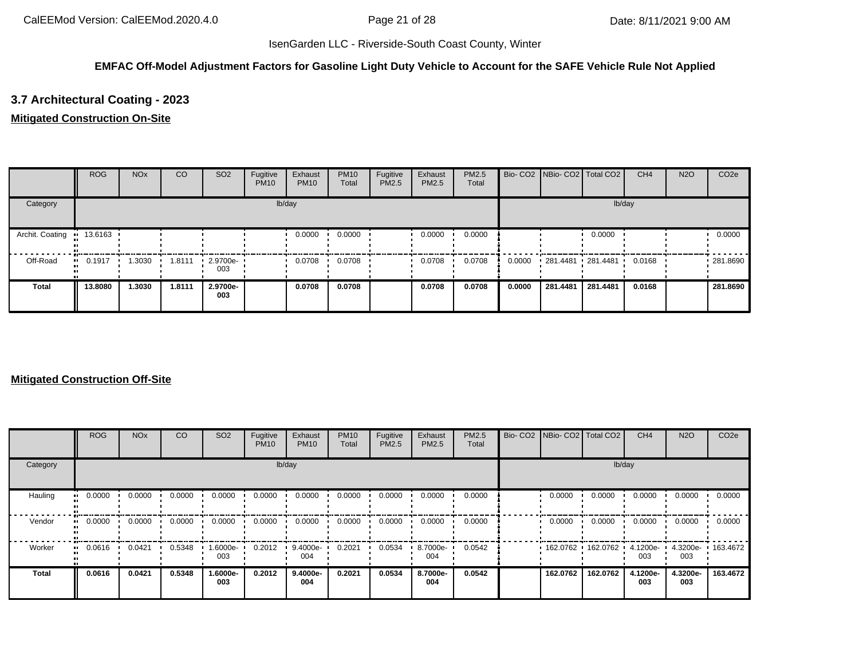### **EMFAC Off-Model Adjustment Factors for Gasoline Light Duty Vehicle to Account for the SAFE Vehicle Rule Not Applied**

# **3.7 Architectural Coating - 2023**

### **Mitigated Construction On-Site**

|                 | <b>ROG</b>             | <b>NO<sub>x</sub></b> | CO     | SO <sub>2</sub> | Fugitive<br><b>PM10</b> | Exhaust<br><b>PM10</b> | <b>PM10</b><br>Total | Fugitive<br>PM2.5 | Exhaust<br><b>PM2.5</b> | <b>PM2.5</b><br>Total |        | Bio- CO2   NBio- CO2   Total CO2 |          | CH <sub>4</sub> | <b>N2O</b> | CO <sub>2e</sub> |
|-----------------|------------------------|-----------------------|--------|-----------------|-------------------------|------------------------|----------------------|-------------------|-------------------------|-----------------------|--------|----------------------------------|----------|-----------------|------------|------------------|
| Category        |                        |                       |        |                 |                         | lb/day                 |                      |                   |                         |                       |        |                                  |          | lb/day          |            |                  |
| Archit. Coating | $\blacksquare$ 13.6163 |                       |        |                 |                         | 0.0000                 | 0.0000               |                   | 0.0000                  | 0.0000                |        |                                  | 0.0000   |                 |            | 0.0000           |
| Off-Road        | $\blacksquare$ 0.1917  | 1.3030                | 1.8111 | 2.9700e-<br>003 |                         | 0.0708                 | 0.0708               |                   | 0.0708                  | 0.0708                | 0.0000 | $281.4481$ 281.4481              |          | 0.0168          |            | .281.8690        |
| Total           | 13.8080                | 1.3030                | 1.8111 | 2.9700e-<br>003 |                         | 0.0708                 | 0.0708               |                   | 0.0708                  | 0.0708                | 0.0000 | 281.4481                         | 281.4481 | 0.0168          |            | 281.8690         |

|          | <b>ROG</b>            | <b>NO<sub>x</sub></b> | CO     | SO <sub>2</sub> | Fugitive<br><b>PM10</b> | Exhaust<br><b>PM10</b> | <b>PM10</b><br>Total | Fugitive<br>PM2.5 | Exhaust<br>PM2.5 | PM2.5<br>Total | Bio- CO2 NBio- CO2 Total CO2 |          | CH <sub>4</sub> | <b>N2O</b>      | CO <sub>2e</sub>  |
|----------|-----------------------|-----------------------|--------|-----------------|-------------------------|------------------------|----------------------|-------------------|------------------|----------------|------------------------------|----------|-----------------|-----------------|-------------------|
| Category |                       |                       |        |                 |                         | lb/day                 |                      |                   |                  |                |                              | lb/day   |                 |                 |                   |
| Hauling  | 0.0000<br>            | 0.0000                | 0.0000 | 0.0000          | 0.0000                  | 0.0000                 | 0.0000               | 0.0000            | 0.0000           | 0.0000         | 0.0000                       | 0.0000   | 0.0000          | 0.0000          | 0.0000            |
| Vendor   | $\blacksquare$ 0.0000 | 0.0000                | 0.0000 | 0.0000          | 0.0000                  | 0.0000                 | 0.0000               | 0.0000            | 0.0000           | 0.0000         | 0.0000                       | 0.0000   | 0.0000          | 0.0000          | 0.0000            |
| Worker   | 0.0616<br>            | 0.0421                | 0.5348 | -6000e-<br>003  | 0.2012                  | 9.4000e-<br>004        | 0.2021               | 0.0534            | 8.7000e-<br>004  | 0.0542         | 162.0762                     | 162.0762 | 4.1200e-<br>003 | 003             | 4.3200e- 163.4672 |
| Total    | 0.0616                | 0.0421                | 0.5348 | -.6000e<br>003  | 0.2012                  | 9.4000e-<br>004        | 0.2021               | 0.0534            | 8.7000e-<br>004  | 0.0542         | 162.0762                     | 162.0762 | 4.1200e-<br>003 | 4.3200e-<br>003 | 163.4672          |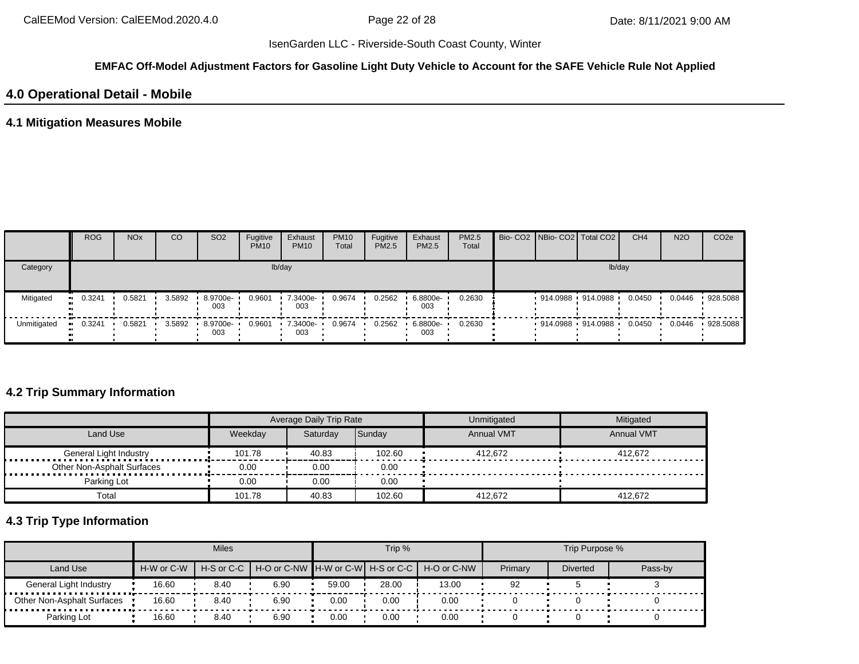#### **EMFAC Off-Model Adjustment Factors for Gasoline Light Duty Vehicle to Account for the SAFE Vehicle Rule Not Applied**

### **4.0 Operational Detail - Mobile**

## **4.1 Mitigation Measures Mobile**

|             | <b>ROG</b> | <b>NO<sub>x</sub></b> | CO     | SO <sub>2</sub>   | Fugitive<br><b>PM10</b> | Exhaust<br><b>PM10</b> | <b>PM10</b><br>Total | Fugitive<br>PM2.5 | Exhaust<br>PM2.5 | <b>PM2.5</b><br>Total |  | Bio- CO2 NBio- CO2 Total CO2 | CH <sub>4</sub> | <b>N2O</b> | CO <sub>2e</sub> |
|-------------|------------|-----------------------|--------|-------------------|-------------------------|------------------------|----------------------|-------------------|------------------|-----------------------|--|------------------------------|-----------------|------------|------------------|
| Category    |            |                       |        |                   |                         | lb/day                 |                      |                   |                  |                       |  | lb/day                       |                 |            |                  |
| Mitigated   | 0.3241     | 0.5821                | 3.5892 | $.89700e-$<br>003 | 0.9601                  | 7.3400e-<br>003        | 0.9674               | 0.2562            | 6.8800e-<br>003  | 0.2630                |  | 914.0988 914.0988            | 0.0450          | 0.0446     | 928.5088         |
| Unmitigated | 0.3241     | 0.5821                | 3.5892 | 8.9700e-<br>003   | 0.9601                  | 7.3400e-<br>003        | 0.9674               | 0.2562            | 6.8800e-<br>003  | 0.2630                |  | 914.0988 914.0988            | 0.0450          | 0.0446     | 928.5088         |

## **4.2 Trip Summary Information**

|                            |         | Average Daily Trip Rate |        | Unmitigated       | Mitigated         |
|----------------------------|---------|-------------------------|--------|-------------------|-------------------|
| Land Use                   | Weekday | Saturdav                | Sunday | <b>Annual VMT</b> | <b>Annual VMT</b> |
| General Light Industry     | 101.78  | 40.83                   | 102.60 | 412.672           | 412.672           |
| Other Non-Asphalt Surfaces | 0.00    | 0.00                    | 0.00   |                   |                   |
| Parking Lot                | 0.00    | 0.00                    | 0.00   |                   |                   |
| Total                      | 101.78  | 40.83                   | 102.60 | 412.672           | 412.672           |

# **4.3 Trip Type Information**

|                            |                                                                                                         | <b>Miles</b> |      |       | Trip % |       |         | Trip Purpose %  |         |
|----------------------------|---------------------------------------------------------------------------------------------------------|--------------|------|-------|--------|-------|---------|-----------------|---------|
| Land Use                   | H-S or C-C   H-O or C-NW   H-W or C-W   H-S or C-C   H-O or C-NW<br>H-W or C-W<br>16.60<br>8.40<br>6.90 |              |      |       |        |       | Primary | <b>Diverted</b> | Pass-by |
| General Light Industry     |                                                                                                         |              |      | 59.00 | 28.00  | 13.00 | 92      |                 |         |
| Other Non-Asphalt Surfaces | 16.60                                                                                                   | 8.40         | 6.90 | 0.00  | 0.00   | 0.00  |         |                 |         |
| Parking Lot                | 16.60                                                                                                   | 8.40         | 6.90 | 0.00  | 0.00   | 0.00  |         |                 |         |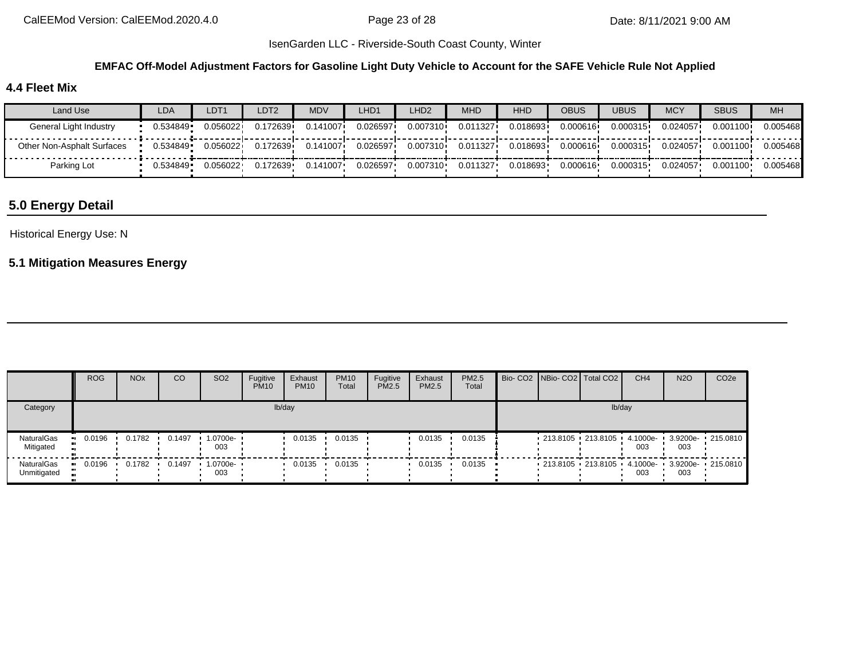#### **EMFAC Off-Model Adjustment Factors for Gasoline Light Duty Vehicle to Account for the SAFE Vehicle Rule Not Applied**

## **4.4 Fleet Mix**

| Land Use                   | LDA       | LDT <sub>1</sub> | LDT2     | MDV      | _HD1     | LHD <sub>2</sub> | MHD      | <b>HHD</b> | <b>OBUS</b> | <b>UBUS</b> | <b>MCY</b> | <b>SBUS</b> | MH       |
|----------------------------|-----------|------------------|----------|----------|----------|------------------|----------|------------|-------------|-------------|------------|-------------|----------|
| General Light Industry     | 0.534849  | 0.056022         | 0.172639 | 0.141007 | 0.026597 | 0.007310         | 0.011327 | 0.018693   | 0.000616    | 0.000315    | 0.024057   | 0.001100    | 0.005468 |
| Other Non-Asphalt Surfaces | 0.534849  | 0.056022         | 0.172639 | 0.141007 | 0.026597 | 0.007310         | 0.011327 | 0.018693   | 0.000616    | 0.000315    | 0.024057   | 0.001100    | 0.005468 |
| Parking Lot                | ∪.534849∙ | 0.056022         | 0.172639 | 0.141007 | 0.026597 | 0.007310         | 0.011327 | 0.018693   | 0.000616    | 0.000315    | 0.024057   | 0.001100    | 0.005468 |

# **5.0 Energy Detail**

#### Historical Energy Use: N

### **5.1 Mitigation Measures Energy**

|                           | <b>ROG</b> | <b>NO<sub>x</sub></b> | CO     | SO <sub>2</sub>                 | Fugitive<br><b>PM10</b> | Exhaust<br><b>PM10</b> | <b>PM10</b><br>Total | Fugitive<br>PM2.5 | Exhaust<br>PM2.5 | PM2.5<br>Total |  | Bio- CO2   NBio- CO2   Total CO2                                              | CH <sub>4</sub> | <b>N2O</b> | CO <sub>2e</sub> |
|---------------------------|------------|-----------------------|--------|---------------------------------|-------------------------|------------------------|----------------------|-------------------|------------------|----------------|--|-------------------------------------------------------------------------------|-----------------|------------|------------------|
| Category                  |            |                       |        |                                 |                         | lb/day                 |                      |                   |                  |                |  | lb/day                                                                        |                 |            |                  |
| NaturalGas<br>Mitigated   | 0.0196     | 0.1782                | 0.1497 | $\cdot$ 1.0700e- $\cdot$<br>003 |                         | 0.0135                 | 0.0135               |                   | 0.0135           | 0.0135         |  | $\frac{1}{213.8105}$ 213.8105 $\frac{1}{213.6105}$ 4.1000e- 3.9200e- 215.0810 | 003             | 003        |                  |
| NaturalGas<br>Unmitigated | 0.0196     | 0.1782                | 0.1497 | $1.0700e-$<br>003               |                         | 0.0135                 | 0.0135               |                   | 0.0135           | 0.0135         |  | 213.8105 213.8105 4.1000e- 3.9200e- 215.0810                                  | 003             | 003        |                  |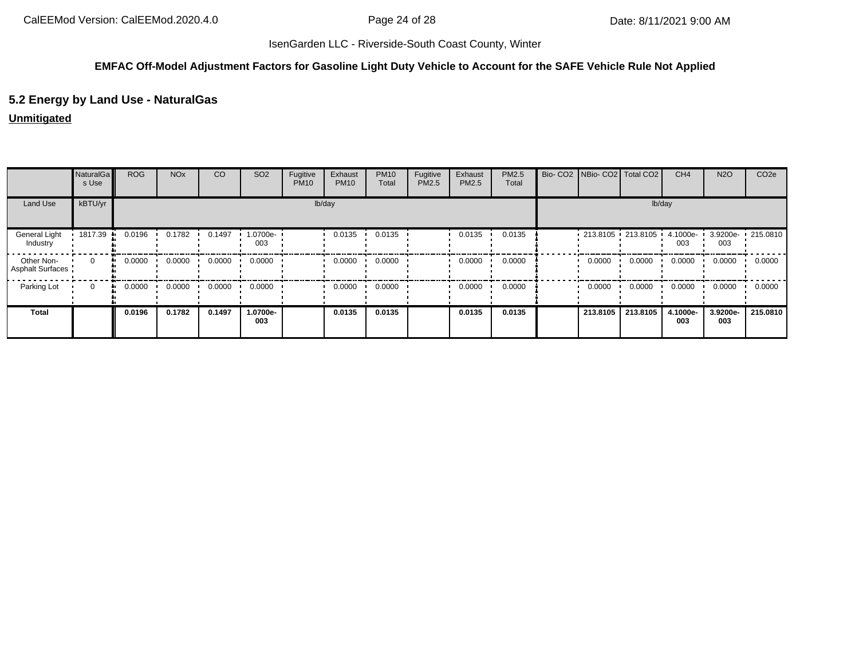#### **EMFAC Off-Model Adjustment Factors for Gasoline Light Duty Vehicle to Account for the SAFE Vehicle Rule Not Applied**

## **5.2 Energy by Land Use - NaturalGas**

#### **Unmitigated**

|                                       | NaturalGa<br>s Use | <b>ROG</b>   | <b>NO<sub>x</sub></b> | CO     | SO <sub>2</sub> | Fugitive<br><b>PM10</b> | Exhaust<br><b>PM10</b> | <b>PM10</b><br>Total | Fugitive<br>PM2.5 | Exhaust<br>PM2.5 | PM2.5<br>Total | Bio- CO2   NBio- CO2   Total CO2 |          | CH <sub>4</sub> | <b>N2O</b>      | CO <sub>2e</sub> |
|---------------------------------------|--------------------|--------------|-----------------------|--------|-----------------|-------------------------|------------------------|----------------------|-------------------|------------------|----------------|----------------------------------|----------|-----------------|-----------------|------------------|
| Land Use                              | kBTU/yr            |              |                       |        |                 |                         | lb/day                 |                      |                   |                  |                |                                  | lb/day   |                 |                 |                  |
| General Light<br>Industry             | 1817.39            | 0.0196       | 0.1782                | 0.1497 | 1.0700e-<br>003 |                         | 0.0135                 | 0.0135               |                   | 0.0135           | 0.0135         | $-213.8105 - 213.8105 - 4.1000e$ |          | 003             | 3.9200e-<br>003 | $-215.0810$      |
| Other Non-<br><b>Asphalt Surfaces</b> | $\Omega$           | 0.0000<br>ш. | 0.0000                | 0.0000 | 0.0000          |                         | 0.0000                 | 0.0000               |                   | 0.0000           | 0.0000         | 0.0000                           | 0.0000   | 0.0000          | 0.0000          | 0.0000           |
| Parking Lot                           | $\mathbf{0}$       | 0.0000<br>ш. | 0.0000                | 0.0000 | 0.0000          |                         | 0.0000                 | 0.0000               |                   | 0.0000           | 0.0000         | 0.0000                           | 0.0000   | 0.0000          | 0.0000          | 0.0000           |
| <b>Total</b>                          |                    | 0.0196       | 0.1782                | 0.1497 | 1.0700e-<br>003 |                         | 0.0135                 | 0.0135               |                   | 0.0135           | 0.0135         | 213.8105                         | 213.8105 | 4.1000e-<br>003 | 3.9200e-<br>003 | 215.0810         |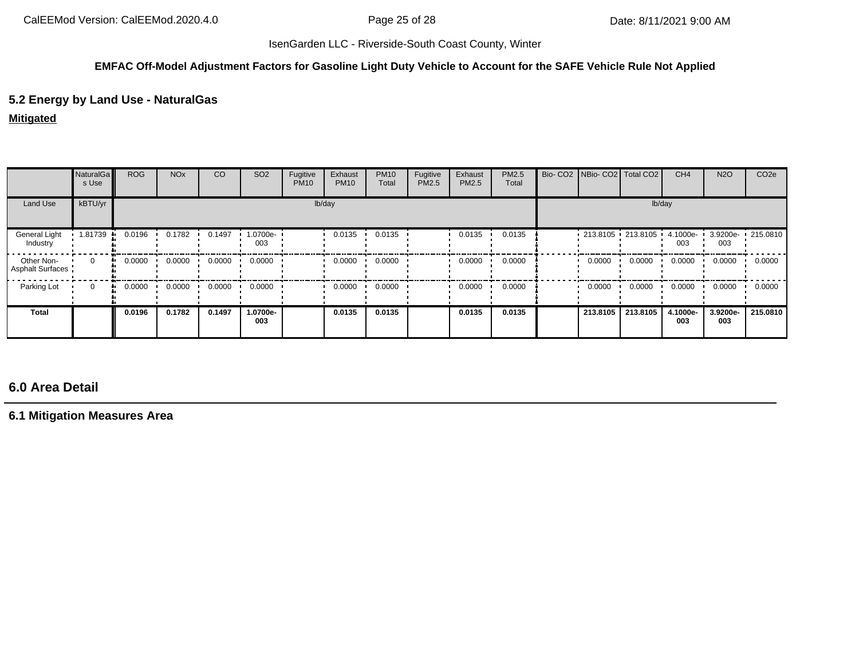#### **EMFAC Off-Model Adjustment Factors for Gasoline Light Duty Vehicle to Account for the SAFE Vehicle Rule Not Applied**

## **5.2 Energy by Land Use - NaturalGas**

### **Mitigated**

|                                       | <b>NaturalGa</b><br>s Use | <b>ROG</b> | <b>NO<sub>x</sub></b> | CO     | SO <sub>2</sub> | Fugitive<br><b>PM10</b> | Exhaust<br><b>PM10</b> | <b>PM10</b><br>Total | Fugitive<br><b>PM2.5</b> | Exhaust<br>PM2.5 | PM2.5<br>Total |        | Bio- CO2 NBio- CO2 Total CO2 |          | CH <sub>4</sub> | <b>N2O</b>      | CO <sub>2e</sub>  |
|---------------------------------------|---------------------------|------------|-----------------------|--------|-----------------|-------------------------|------------------------|----------------------|--------------------------|------------------|----------------|--------|------------------------------|----------|-----------------|-----------------|-------------------|
| Land Use                              | kBTU/yr                   |            |                       |        |                 | lb/day                  |                        |                      |                          |                  |                | lb/day |                              |          |                 |                 |                   |
| General Light<br>Industry             | 1.81739                   | 0.0196     | 0.1782                | 0.1497 | 1.0700e-<br>003 |                         | 0.0135                 | 0.0135               |                          | 0.0135           | 0.0135         |        | : 213.8105 : 213.8105 :      |          | 4.1000e-<br>003 | 003             | 3.9200e- 215.0810 |
| Other Non-<br><b>Asphalt Surfaces</b> | $\Omega$                  | 0.0000     | 0.0000                | 0.0000 | 0.0000          |                         | 0.0000                 | 0.0000               |                          | 0.0000           | 0.0000         |        | 0.0000                       | 0.0000   | 0.0000          | 0.0000          | 0.0000            |
| Parking Lot                           | $\mathbf{0}$              | 0.0000     | 0.0000                | 0.0000 | 0.0000          |                         | 0.0000                 | 0.0000               |                          | 0.0000           | 0.0000         |        | 0.0000                       | 0.0000   | 0.0000          | 0.0000          | 0.0000            |
| Total                                 |                           | 0.0196     | 0.1782                | 0.1497 | 1.0700e-<br>003 |                         | 0.0135                 | 0.0135               |                          | 0.0135           | 0.0135         |        | 213.8105                     | 213.8105 | 4.1000e-<br>003 | 3.9200e-<br>003 | 215.0810          |

# **6.0 Area Detail**

**6.1 Mitigation Measures Area**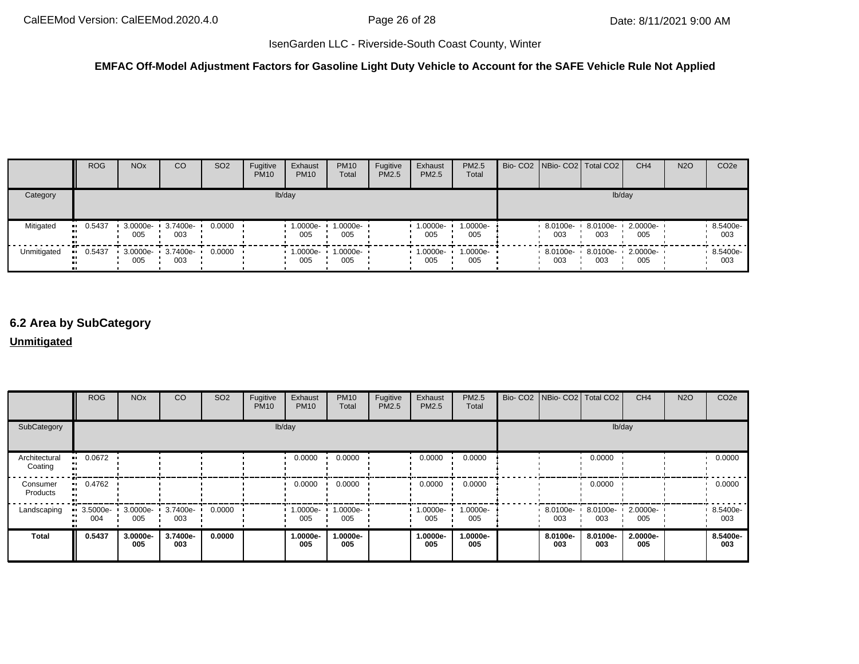### **EMFAC Off-Model Adjustment Factors for Gasoline Light Duty Vehicle to Account for the SAFE Vehicle Rule Not Applied**

|             | <b>ROG</b> | <b>NO<sub>x</sub></b> | CO              | SO <sub>2</sub> | Fugitive<br><b>PM10</b> | Exhaust<br><b>PM10</b> | <b>PM10</b><br>Total | Fugitive<br>PM2.5 | Exhaust<br><b>PM2.5</b> | <b>PM2.5</b><br>Total | Bio- CO2 NBio- CO2 Total CO2 |                 | CH <sub>4</sub>          | <b>N2O</b> | CO <sub>2e</sub> |
|-------------|------------|-----------------------|-----------------|-----------------|-------------------------|------------------------|----------------------|-------------------|-------------------------|-----------------------|------------------------------|-----------------|--------------------------|------------|------------------|
| Category    |            |                       |                 |                 |                         | lb/day                 |                      |                   |                         |                       |                              | lb/day          |                          |            |                  |
| Mitigated   | $-0.5437$  | 3.0000e-<br>005       | 3.7400e-<br>003 | 0.0000          |                         | 1.0000e-<br>005        | 1.0000e-<br>005      |                   | 1.0000e-<br>005         | 1.0000e-<br>005       | 8.0100e-<br>003              | 8.0100e-<br>003 | 2.0000e-<br>005          |            | 8.5400e-<br>003  |
| Unmitigated | 0.5437     | 3.0000e-<br>005       | 3.7400e-<br>003 | 0.0000          |                         | 1.0000e-<br>005        | 1.0000e-<br>005      |                   | 1.0000e-<br>005         | $1.0000e-$<br>005     | 8.0100e-<br>003              | 003             | 8.0100e- 2.0000e-<br>005 |            | 8.5400e-<br>003  |

# **6.2 Area by SubCategory**

#### **Unmitigated**

|                          | <b>ROG</b>                                     | <b>NO<sub>x</sub></b> | CO              | SO <sub>2</sub> | Fugitive<br><b>PM10</b> | Exhaust<br><b>PM10</b> | <b>PM10</b><br>Total | Fugitive<br>PM2.5 | Exhaust<br><b>PM2.5</b> | PM2.5<br>Total  | Bio- CO2   NBio- CO2   Total CO2 |                 | CH <sub>4</sub> | <b>N2O</b> | CO <sub>2e</sub> |
|--------------------------|------------------------------------------------|-----------------------|-----------------|-----------------|-------------------------|------------------------|----------------------|-------------------|-------------------------|-----------------|----------------------------------|-----------------|-----------------|------------|------------------|
| SubCategory              |                                                |                       |                 |                 |                         | lb/day                 |                      |                   |                         |                 |                                  |                 | lb/day          |            |                  |
| Architectural<br>Coating | 0.0672                                         |                       |                 |                 |                         | 0.0000                 | 0.0000               |                   | 0.0000                  | 0.0000          |                                  | 0.0000          |                 |            | 0.0000           |
| Consumer<br>Products     | 0.4762<br>. .                                  |                       |                 |                 |                         | 0.0000                 | 0.0000               |                   | 0.0000                  | 0.0000          |                                  | 0.0000          |                 |            | 0.0000           |
| Landscaping              | $\therefore$ 3.5000e- 3.0000e- 3.7400e-<br>004 | 005                   | 003             | 0.0000          |                         | 1.0000e-<br>005        | 1.0000e-<br>005      |                   | $1.0000e -$<br>005      | 1.0000e-<br>005 | 8.0100e-<br>003                  | 8.0100e-<br>003 | 2.0000e-<br>005 |            | 8.5400e-<br>003  |
| <b>Total</b>             | 0.5437                                         | 3.0000e-<br>005       | 3.7400e-<br>003 | 0.0000          |                         | 1.0000e-<br>005        | 1.0000e-<br>005      |                   | 1.0000e-<br>005         | 1.0000e-<br>005 | 8.0100e-<br>003                  | 8.0100e-<br>003 | 2.0000e-<br>005 |            | 8.5400e-<br>003  |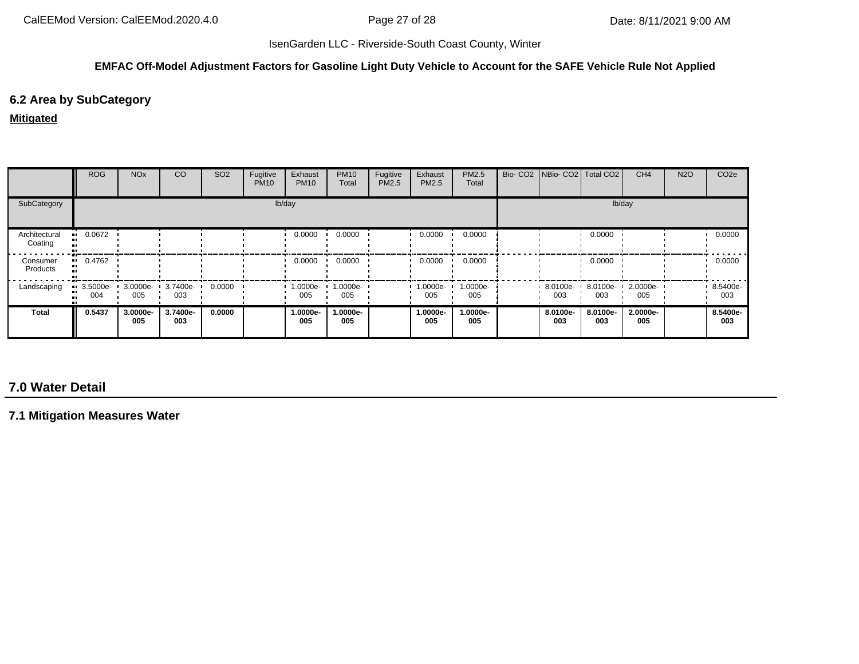#### **EMFAC Off-Model Adjustment Factors for Gasoline Light Duty Vehicle to Account for the SAFE Vehicle Rule Not Applied**

# **6.2 Area by SubCategory**

#### **Mitigated**

|                          | <b>ROG</b>                     | <b>NO<sub>x</sub></b> | CO              | SO <sub>2</sub> | Fugitive<br><b>PM10</b> | Exhaust<br><b>PM10</b> | <b>PM10</b><br>Total | Fugitive<br>PM2.5 | Exhaust<br><b>PM2.5</b> | PM2.5<br>Total  | Bio- CO2   NBio- CO2   Total CO2 |                 | CH <sub>4</sub> | <b>N2O</b> | CO <sub>2e</sub> |
|--------------------------|--------------------------------|-----------------------|-----------------|-----------------|-------------------------|------------------------|----------------------|-------------------|-------------------------|-----------------|----------------------------------|-----------------|-----------------|------------|------------------|
| SubCategory              |                                |                       |                 |                 |                         | lb/day                 |                      |                   |                         |                 |                                  |                 | lb/day          |            |                  |
| Architectural<br>Coating | $-0.0672$                      |                       |                 |                 |                         | 0.0000                 | 0.0000               |                   | 0.0000                  | 0.0000          |                                  | 0.0000          |                 |            | 0.0000           |
| Consumer<br>Products     | 0.4762<br>. .                  |                       |                 |                 |                         | 0.0000                 | 0.0000               |                   | 0.0000                  | 0.0000          |                                  | 0.0000          |                 |            | 0.0000           |
| Landscaping              | $\blacksquare$ 3.5000e-<br>004 | 3.0000e-<br>005       | 3.7400e-<br>003 | 0.0000          |                         | 1.0000e-<br>005        | 1.0000e-<br>005      |                   | 1.0000e-<br>005         | 1.0000e-<br>005 | 8.0100e-<br>003                  | 8.0100e-<br>003 | 2.0000e-<br>005 |            | 8.5400e-<br>003  |
| Total                    | 0.5437                         | 3.0000e-<br>005       | 3.7400e-<br>003 | 0.0000          |                         | 1.0000e-<br>005        | 1.0000e-<br>005      |                   | 1.0000e-<br>005         | 1.0000e-<br>005 | 8.0100e-<br>003                  | 8.0100e-<br>003 | 2.0000e-<br>005 |            | 8.5400e-<br>003  |

# **7.0 Water Detail**

**7.1 Mitigation Measures Water**